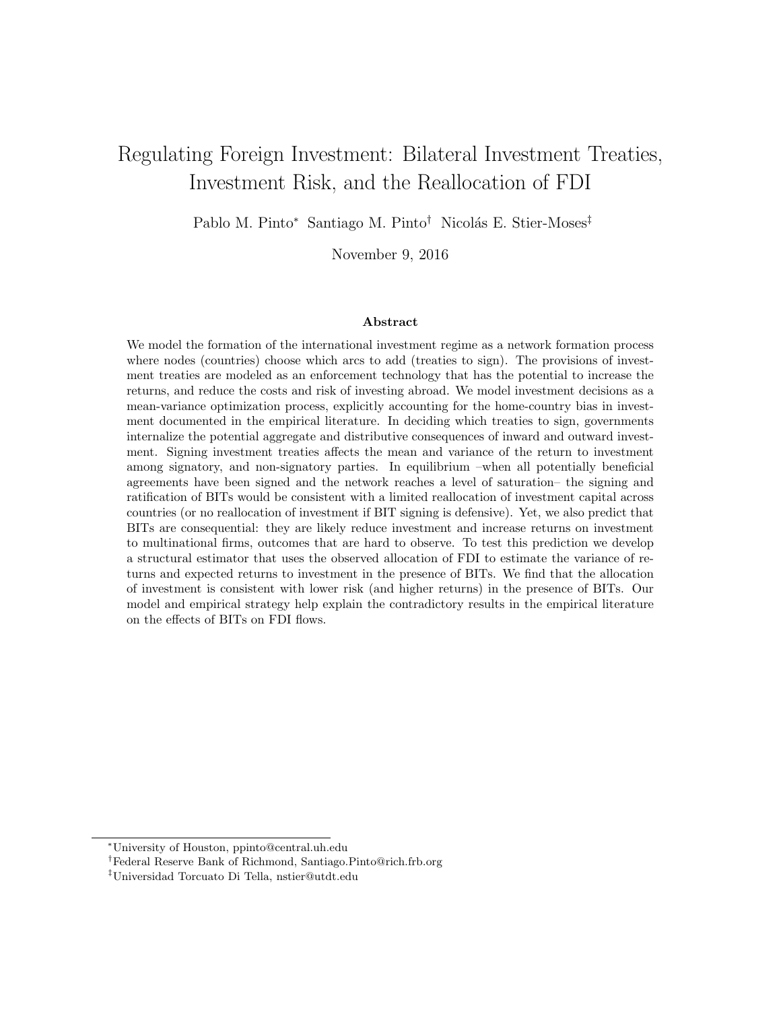# Regulating Foreign Investment: Bilateral Investment Treaties, Investment Risk, and the Reallocation of FDI

Pablo M. Pinto<sup>∗</sup> Santiago M. Pinto<sup>†</sup> Nicolás E. Stier-Moses<sup>‡</sup>

November 9, 2016

#### Abstract

We model the formation of the international investment regime as a network formation process where nodes (countries) choose which arcs to add (treaties to sign). The provisions of investment treaties are modeled as an enforcement technology that has the potential to increase the returns, and reduce the costs and risk of investing abroad. We model investment decisions as a mean-variance optimization process, explicitly accounting for the home-country bias in investment documented in the empirical literature. In deciding which treaties to sign, governments internalize the potential aggregate and distributive consequences of inward and outward investment. Signing investment treaties affects the mean and variance of the return to investment among signatory, and non-signatory parties. In equilibrium –when all potentially beneficial agreements have been signed and the network reaches a level of saturation– the signing and ratification of BITs would be consistent with a limited reallocation of investment capital across countries (or no reallocation of investment if BIT signing is defensive). Yet, we also predict that BITs are consequential: they are likely reduce investment and increase returns on investment to multinational firms, outcomes that are hard to observe. To test this prediction we develop a structural estimator that uses the observed allocation of FDI to estimate the variance of returns and expected returns to investment in the presence of BITs. We find that the allocation of investment is consistent with lower risk (and higher returns) in the presence of BITs. Our model and empirical strategy help explain the contradictory results in the empirical literature on the effects of BITs on FDI flows.

<sup>∗</sup>University of Houston, ppinto@central.uh.edu

<sup>†</sup>Federal Reserve Bank of Richmond, Santiago.Pinto@rich.frb.org

<sup>‡</sup>Universidad Torcuato Di Tella, nstier@utdt.edu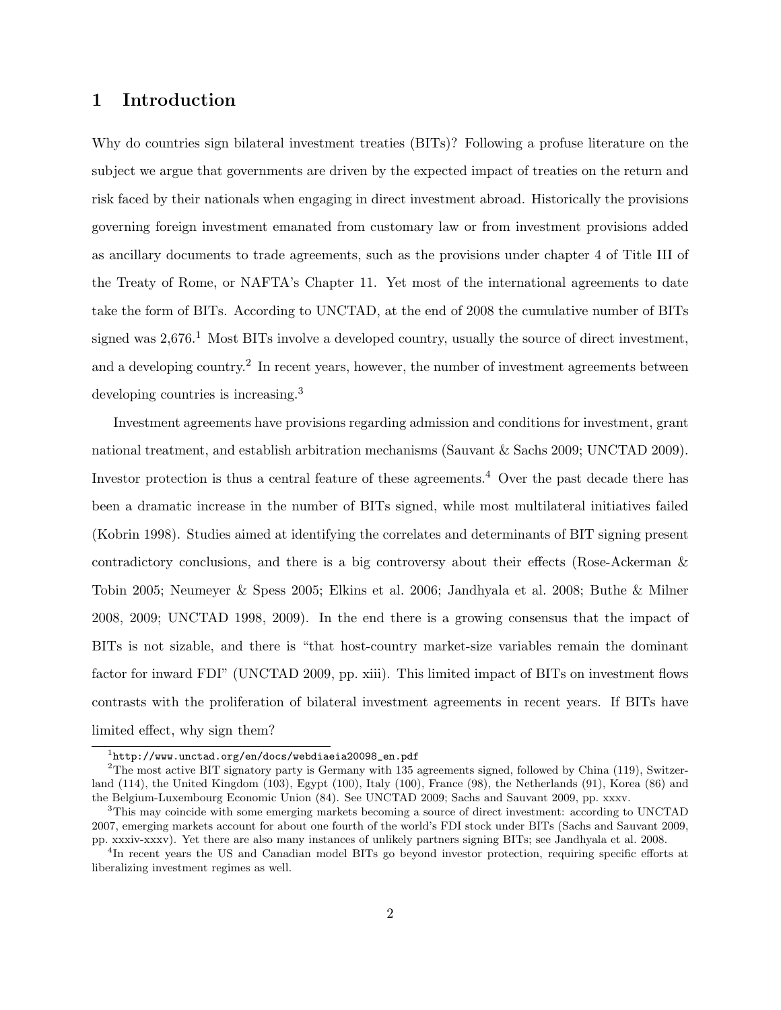### 1 Introduction

Why do countries sign bilateral investment treaties (BITs)? Following a profuse literature on the subject we argue that governments are driven by the expected impact of treaties on the return and risk faced by their nationals when engaging in direct investment abroad. Historically the provisions governing foreign investment emanated from customary law or from investment provisions added as ancillary documents to trade agreements, such as the provisions under chapter 4 of Title III of the Treaty of Rome, or NAFTA's Chapter 11. Yet most of the international agreements to date take the form of BITs. According to UNCTAD, at the end of 2008 the cumulative number of BITs signed was  $2.676<sup>1</sup>$  Most BITs involve a developed country, usually the source of direct investment, and a developing country.<sup>2</sup> In recent years, however, the number of investment agreements between developing countries is increasing.<sup>3</sup>

Investment agreements have provisions regarding admission and conditions for investment, grant national treatment, and establish arbitration mechanisms (Sauvant & Sachs 2009; UNCTAD 2009). Investor protection is thus a central feature of these agreements.<sup>4</sup> Over the past decade there has been a dramatic increase in the number of BITs signed, while most multilateral initiatives failed (Kobrin 1998). Studies aimed at identifying the correlates and determinants of BIT signing present contradictory conclusions, and there is a big controversy about their effects (Rose-Ackerman & Tobin 2005; Neumeyer & Spess 2005; Elkins et al. 2006; Jandhyala et al. 2008; Buthe & Milner 2008, 2009; UNCTAD 1998, 2009). In the end there is a growing consensus that the impact of BITs is not sizable, and there is "that host-country market-size variables remain the dominant factor for inward FDI" (UNCTAD 2009, pp. xiii). This limited impact of BITs on investment flows contrasts with the proliferation of bilateral investment agreements in recent years. If BITs have limited effect, why sign them?

 $^{\rm 1}$ http://www.unctad.org/en/docs/webdiaeia20098\_en.pdf

<sup>&</sup>lt;sup>2</sup>The most active BIT signatory party is Germany with 135 agreements signed, followed by China (119), Switzerland (114), the United Kingdom (103), Egypt (100), Italy (100), France (98), the Netherlands (91), Korea (86) and the Belgium-Luxembourg Economic Union (84). See UNCTAD 2009; Sachs and Sauvant 2009, pp. xxxv.

<sup>3</sup>This may coincide with some emerging markets becoming a source of direct investment: according to UNCTAD 2007, emerging markets account for about one fourth of the world's FDI stock under BITs (Sachs and Sauvant 2009, pp. xxxiv-xxxv). Yet there are also many instances of unlikely partners signing BITs; see Jandhyala et al. 2008.

<sup>&</sup>lt;sup>4</sup>In recent years the US and Canadian model BITs go beyond investor protection, requiring specific efforts at liberalizing investment regimes as well.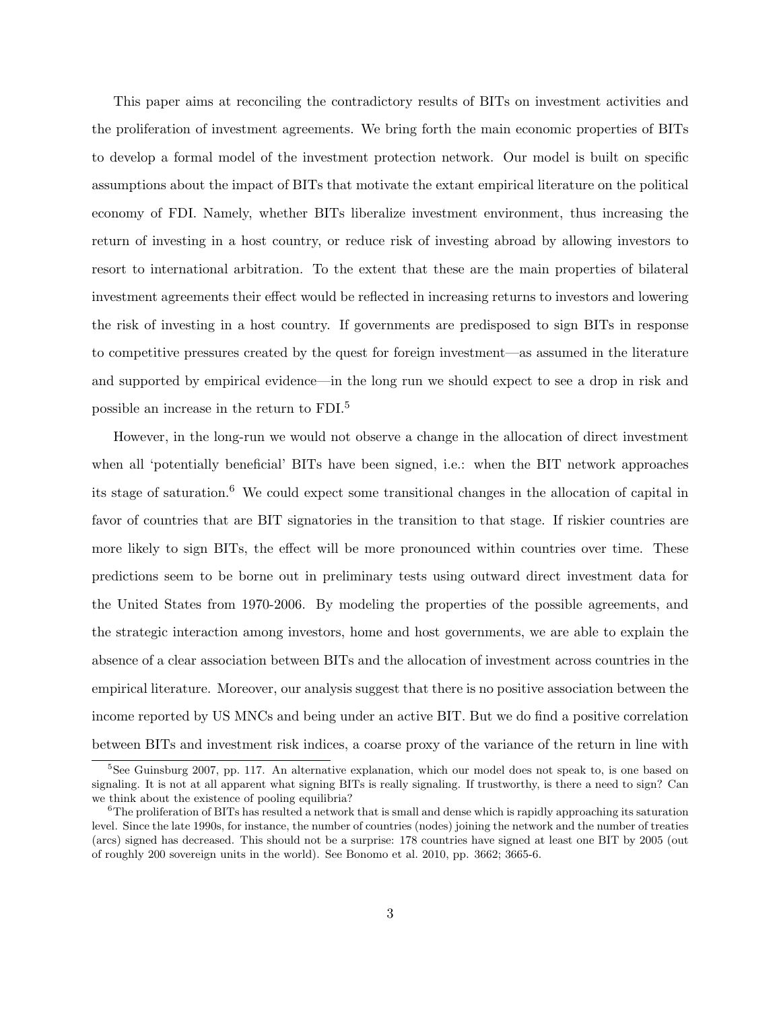This paper aims at reconciling the contradictory results of BITs on investment activities and the proliferation of investment agreements. We bring forth the main economic properties of BITs to develop a formal model of the investment protection network. Our model is built on specific assumptions about the impact of BITs that motivate the extant empirical literature on the political economy of FDI. Namely, whether BITs liberalize investment environment, thus increasing the return of investing in a host country, or reduce risk of investing abroad by allowing investors to resort to international arbitration. To the extent that these are the main properties of bilateral investment agreements their effect would be reflected in increasing returns to investors and lowering the risk of investing in a host country. If governments are predisposed to sign BITs in response to competitive pressures created by the quest for foreign investment—as assumed in the literature and supported by empirical evidence—in the long run we should expect to see a drop in risk and possible an increase in the return to FDI.<sup>5</sup>

However, in the long-run we would not observe a change in the allocation of direct investment when all 'potentially beneficial' BITs have been signed, i.e.: when the BIT network approaches its stage of saturation.<sup>6</sup> We could expect some transitional changes in the allocation of capital in favor of countries that are BIT signatories in the transition to that stage. If riskier countries are more likely to sign BITs, the effect will be more pronounced within countries over time. These predictions seem to be borne out in preliminary tests using outward direct investment data for the United States from 1970-2006. By modeling the properties of the possible agreements, and the strategic interaction among investors, home and host governments, we are able to explain the absence of a clear association between BITs and the allocation of investment across countries in the empirical literature. Moreover, our analysis suggest that there is no positive association between the income reported by US MNCs and being under an active BIT. But we do find a positive correlation between BITs and investment risk indices, a coarse proxy of the variance of the return in line with

<sup>&</sup>lt;sup>5</sup>See Guinsburg 2007, pp. 117. An alternative explanation, which our model does not speak to, is one based on signaling. It is not at all apparent what signing BITs is really signaling. If trustworthy, is there a need to sign? Can we think about the existence of pooling equilibria?

<sup>&</sup>lt;sup>6</sup>The proliferation of BITs has resulted a network that is small and dense which is rapidly approaching its saturation level. Since the late 1990s, for instance, the number of countries (nodes) joining the network and the number of treaties (arcs) signed has decreased. This should not be a surprise: 178 countries have signed at least one BIT by 2005 (out of roughly 200 sovereign units in the world). See Bonomo et al. 2010, pp. 3662; 3665-6.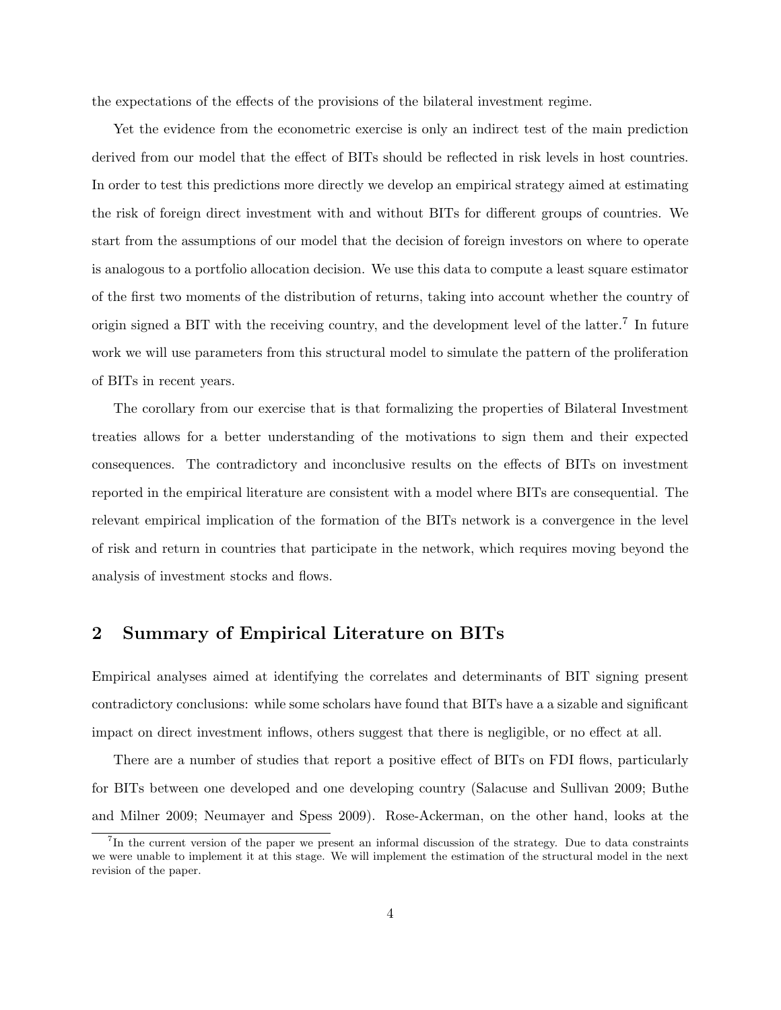the expectations of the effects of the provisions of the bilateral investment regime.

Yet the evidence from the econometric exercise is only an indirect test of the main prediction derived from our model that the effect of BITs should be reflected in risk levels in host countries. In order to test this predictions more directly we develop an empirical strategy aimed at estimating the risk of foreign direct investment with and without BITs for different groups of countries. We start from the assumptions of our model that the decision of foreign investors on where to operate is analogous to a portfolio allocation decision. We use this data to compute a least square estimator of the first two moments of the distribution of returns, taking into account whether the country of origin signed a BIT with the receiving country, and the development level of the latter.<sup>7</sup> In future work we will use parameters from this structural model to simulate the pattern of the proliferation of BITs in recent years.

The corollary from our exercise that is that formalizing the properties of Bilateral Investment treaties allows for a better understanding of the motivations to sign them and their expected consequences. The contradictory and inconclusive results on the effects of BITs on investment reported in the empirical literature are consistent with a model where BITs are consequential. The relevant empirical implication of the formation of the BITs network is a convergence in the level of risk and return in countries that participate in the network, which requires moving beyond the analysis of investment stocks and flows.

### 2 Summary of Empirical Literature on BITs

Empirical analyses aimed at identifying the correlates and determinants of BIT signing present contradictory conclusions: while some scholars have found that BITs have a a sizable and significant impact on direct investment inflows, others suggest that there is negligible, or no effect at all.

There are a number of studies that report a positive effect of BITs on FDI flows, particularly for BITs between one developed and one developing country (Salacuse and Sullivan 2009; Buthe and Milner 2009; Neumayer and Spess 2009). Rose-Ackerman, on the other hand, looks at the

<sup>7</sup> In the current version of the paper we present an informal discussion of the strategy. Due to data constraints we were unable to implement it at this stage. We will implement the estimation of the structural model in the next revision of the paper.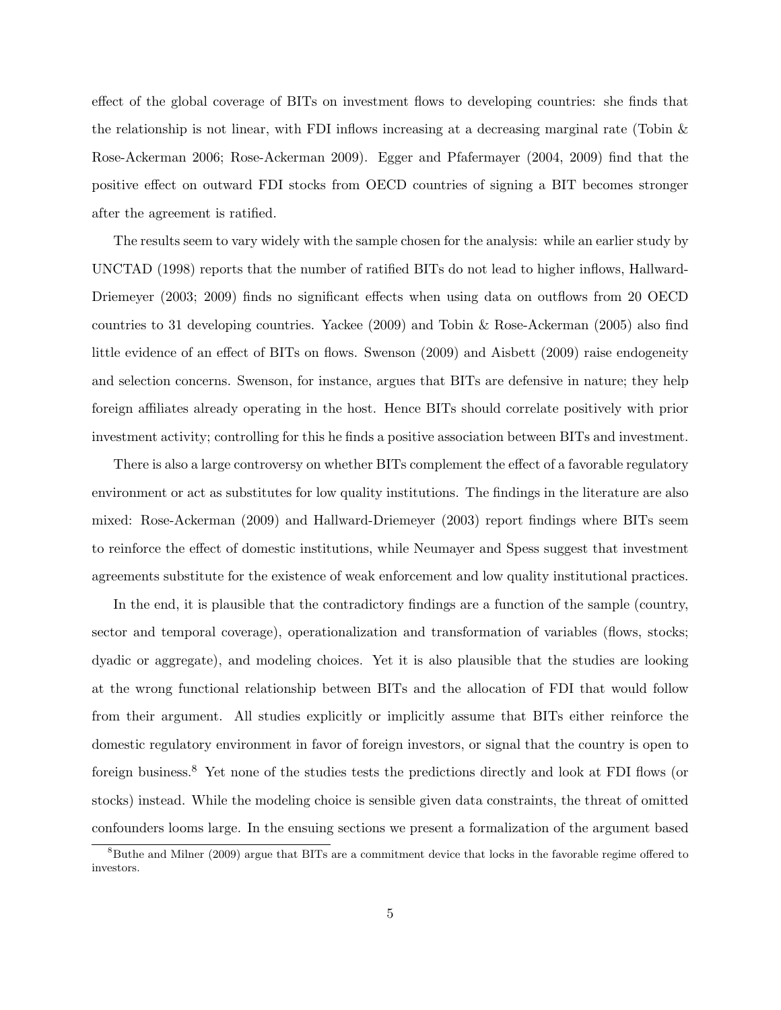effect of the global coverage of BITs on investment flows to developing countries: she finds that the relationship is not linear, with FDI inflows increasing at a decreasing marginal rate (Tobin & Rose-Ackerman 2006; Rose-Ackerman 2009). Egger and Pfafermayer (2004, 2009) find that the positive effect on outward FDI stocks from OECD countries of signing a BIT becomes stronger after the agreement is ratified.

The results seem to vary widely with the sample chosen for the analysis: while an earlier study by UNCTAD (1998) reports that the number of ratified BITs do not lead to higher inflows, Hallward-Driemeyer (2003; 2009) finds no significant effects when using data on outflows from 20 OECD countries to 31 developing countries. Yackee (2009) and Tobin & Rose-Ackerman (2005) also find little evidence of an effect of BITs on flows. Swenson (2009) and Aisbett (2009) raise endogeneity and selection concerns. Swenson, for instance, argues that BITs are defensive in nature; they help foreign affiliates already operating in the host. Hence BITs should correlate positively with prior investment activity; controlling for this he finds a positive association between BITs and investment.

There is also a large controversy on whether BITs complement the effect of a favorable regulatory environment or act as substitutes for low quality institutions. The findings in the literature are also mixed: Rose-Ackerman (2009) and Hallward-Driemeyer (2003) report findings where BITs seem to reinforce the effect of domestic institutions, while Neumayer and Spess suggest that investment agreements substitute for the existence of weak enforcement and low quality institutional practices.

In the end, it is plausible that the contradictory findings are a function of the sample (country, sector and temporal coverage), operationalization and transformation of variables (flows, stocks; dyadic or aggregate), and modeling choices. Yet it is also plausible that the studies are looking at the wrong functional relationship between BITs and the allocation of FDI that would follow from their argument. All studies explicitly or implicitly assume that BITs either reinforce the domestic regulatory environment in favor of foreign investors, or signal that the country is open to foreign business.<sup>8</sup> Yet none of the studies tests the predictions directly and look at FDI flows (or stocks) instead. While the modeling choice is sensible given data constraints, the threat of omitted confounders looms large. In the ensuing sections we present a formalization of the argument based

<sup>8</sup>Buthe and Milner (2009) argue that BITs are a commitment device that locks in the favorable regime offered to investors.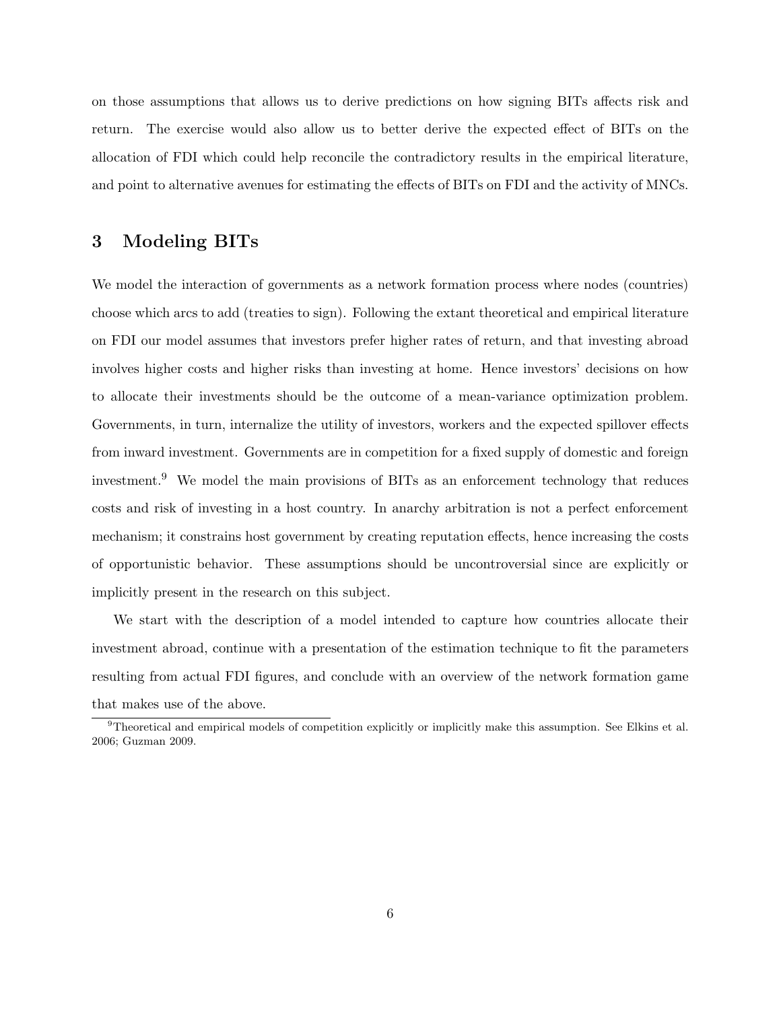on those assumptions that allows us to derive predictions on how signing BITs affects risk and return. The exercise would also allow us to better derive the expected effect of BITs on the allocation of FDI which could help reconcile the contradictory results in the empirical literature, and point to alternative avenues for estimating the effects of BITs on FDI and the activity of MNCs.

### 3 Modeling BITs

We model the interaction of governments as a network formation process where nodes (countries) choose which arcs to add (treaties to sign). Following the extant theoretical and empirical literature on FDI our model assumes that investors prefer higher rates of return, and that investing abroad involves higher costs and higher risks than investing at home. Hence investors' decisions on how to allocate their investments should be the outcome of a mean-variance optimization problem. Governments, in turn, internalize the utility of investors, workers and the expected spillover effects from inward investment. Governments are in competition for a fixed supply of domestic and foreign investment.<sup>9</sup> We model the main provisions of BITs as an enforcement technology that reduces costs and risk of investing in a host country. In anarchy arbitration is not a perfect enforcement mechanism; it constrains host government by creating reputation effects, hence increasing the costs of opportunistic behavior. These assumptions should be uncontroversial since are explicitly or implicitly present in the research on this subject.

We start with the description of a model intended to capture how countries allocate their investment abroad, continue with a presentation of the estimation technique to fit the parameters resulting from actual FDI figures, and conclude with an overview of the network formation game that makes use of the above.

 $9$ Theoretical and empirical models of competition explicitly or implicitly make this assumption. See Elkins et al. 2006; Guzman 2009.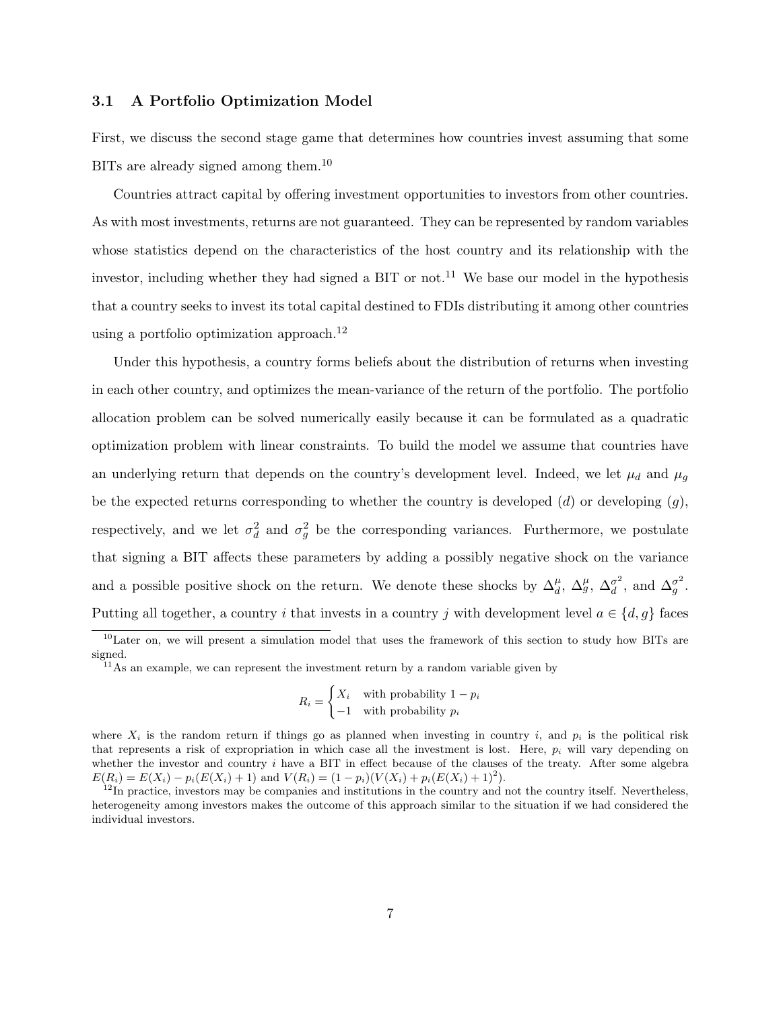#### 3.1 A Portfolio Optimization Model

First, we discuss the second stage game that determines how countries invest assuming that some BITs are already signed among them.<sup>10</sup>

Countries attract capital by offering investment opportunities to investors from other countries. As with most investments, returns are not guaranteed. They can be represented by random variables whose statistics depend on the characteristics of the host country and its relationship with the investor, including whether they had signed a BIT or not.<sup>11</sup> We base our model in the hypothesis that a country seeks to invest its total capital destined to FDIs distributing it among other countries using a portfolio optimization approach.<sup>12</sup>

Under this hypothesis, a country forms beliefs about the distribution of returns when investing in each other country, and optimizes the mean-variance of the return of the portfolio. The portfolio allocation problem can be solved numerically easily because it can be formulated as a quadratic optimization problem with linear constraints. To build the model we assume that countries have an underlying return that depends on the country's development level. Indeed, we let  $\mu_d$  and  $\mu_q$ be the expected returns corresponding to whether the country is developed  $(d)$  or developing  $(g)$ , respectively, and we let  $\sigma_d^2$  and  $\sigma_g^2$  be the corresponding variances. Furthermore, we postulate that signing a BIT affects these parameters by adding a possibly negative shock on the variance and a possible positive shock on the return. We denote these shocks by  $\Delta_d^{\mu}$ ,  $\Delta_g^{\mu}$ ,  $\Delta_d^{\sigma^2}$  $\frac{\sigma^2}{d}$ , and  $\Delta_g^{\sigma^2}$ . Putting all together, a country i that invests in a country j with development level  $a \in \{d, g\}$  faces

$$
R_i = \begin{cases} X_i & \text{with probability } 1 - p_i \\ -1 & \text{with probability } p_i \end{cases}
$$

 $10$ Later on, we will present a simulation model that uses the framework of this section to study how BITs are signed.

<sup>&</sup>lt;sup>11</sup>As an example, we can represent the investment return by a random variable given by

where  $X_i$  is the random return if things go as planned when investing in country i, and  $p_i$  is the political risk that represents a risk of expropriation in which case all the investment is lost. Here,  $p_i$  will vary depending on whether the investor and country i have a BIT in effect because of the clauses of the treaty. After some algebra  $E(R_i) = E(X_i) - p_i(E(X_i) + 1)$  and  $V(R_i) = (1 - p_i)(V(X_i) + p_i(E(X_i) + 1)^2)$ .

 $12$ In practice, investors may be companies and institutions in the country and not the country itself. Nevertheless, heterogeneity among investors makes the outcome of this approach similar to the situation if we had considered the individual investors.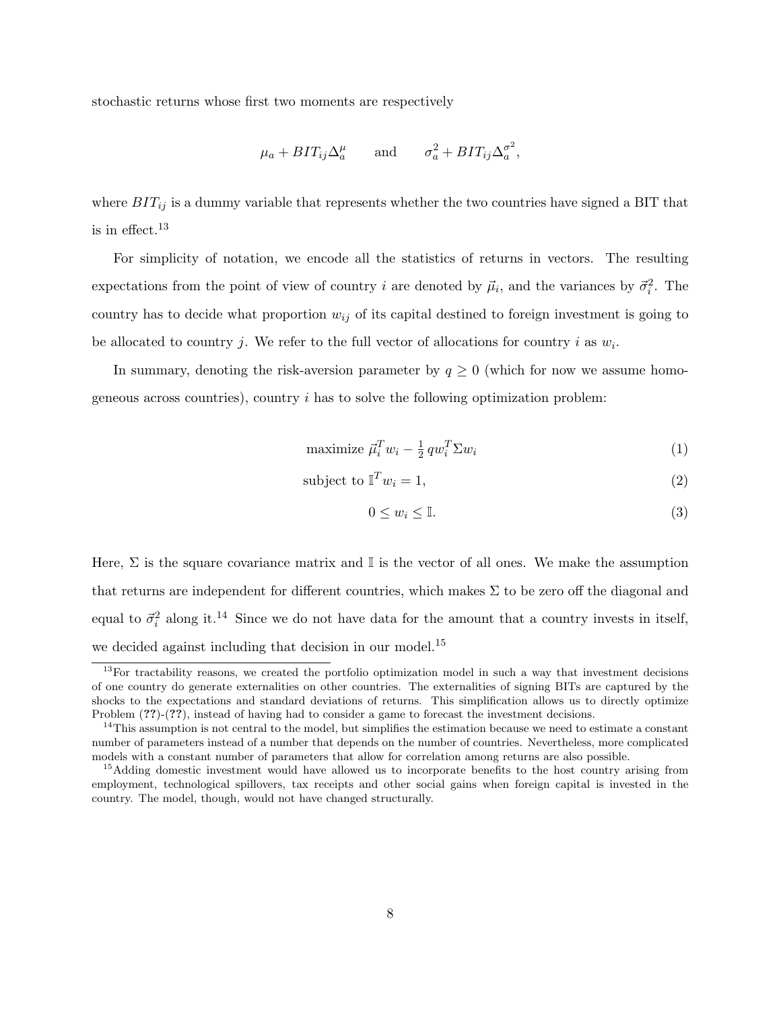stochastic returns whose first two moments are respectively

$$
\mu_a + BIT_{ij}\Delta_a^{\mu}
$$
 and  $\sigma_a^2 + BIT_{ij}\Delta_a^{\sigma^2}$ ,

where  $BIT_{ij}$  is a dummy variable that represents whether the two countries have signed a BIT that is in effect.<sup>13</sup>

For simplicity of notation, we encode all the statistics of returns in vectors. The resulting expectations from the point of view of country i are denoted by  $\vec{\mu}_i$ , and the variances by  $\vec{\sigma}_i^2$ . The country has to decide what proportion  $w_{ij}$  of its capital destined to foreign investment is going to be allocated to country j. We refer to the full vector of allocations for country i as  $w_i$ .

In summary, denoting the risk-aversion parameter by  $q \geq 0$  (which for now we assume homogeneous across countries), country  $i$  has to solve the following optimization problem:

$$
\text{maximize } \vec{\mu}_i^T w_i - \frac{1}{2} q w_i^T \Sigma w_i \tag{1}
$$

$$
subject to \mathbb{T}^T w_i = 1,\tag{2}
$$

$$
0 \le w_i \le \mathbb{I}.\tag{3}
$$

Here,  $\Sigma$  is the square covariance matrix and I is the vector of all ones. We make the assumption that returns are independent for different countries, which makes  $\Sigma$  to be zero off the diagonal and equal to  $\vec{\sigma}_i^2$  along it.<sup>14</sup> Since we do not have data for the amount that a country invests in itself, we decided against including that decision in our model.<sup>15</sup>

<sup>&</sup>lt;sup>13</sup>For tractability reasons, we created the portfolio optimization model in such a way that investment decisions of one country do generate externalities on other countries. The externalities of signing BITs are captured by the shocks to the expectations and standard deviations of returns. This simplification allows us to directly optimize Problem (??)-(??), instead of having had to consider a game to forecast the investment decisions.

 $14$ This assumption is not central to the model, but simplifies the estimation because we need to estimate a constant number of parameters instead of a number that depends on the number of countries. Nevertheless, more complicated models with a constant number of parameters that allow for correlation among returns are also possible.

<sup>&</sup>lt;sup>15</sup>Adding domestic investment would have allowed us to incorporate benefits to the host country arising from employment, technological spillovers, tax receipts and other social gains when foreign capital is invested in the country. The model, though, would not have changed structurally.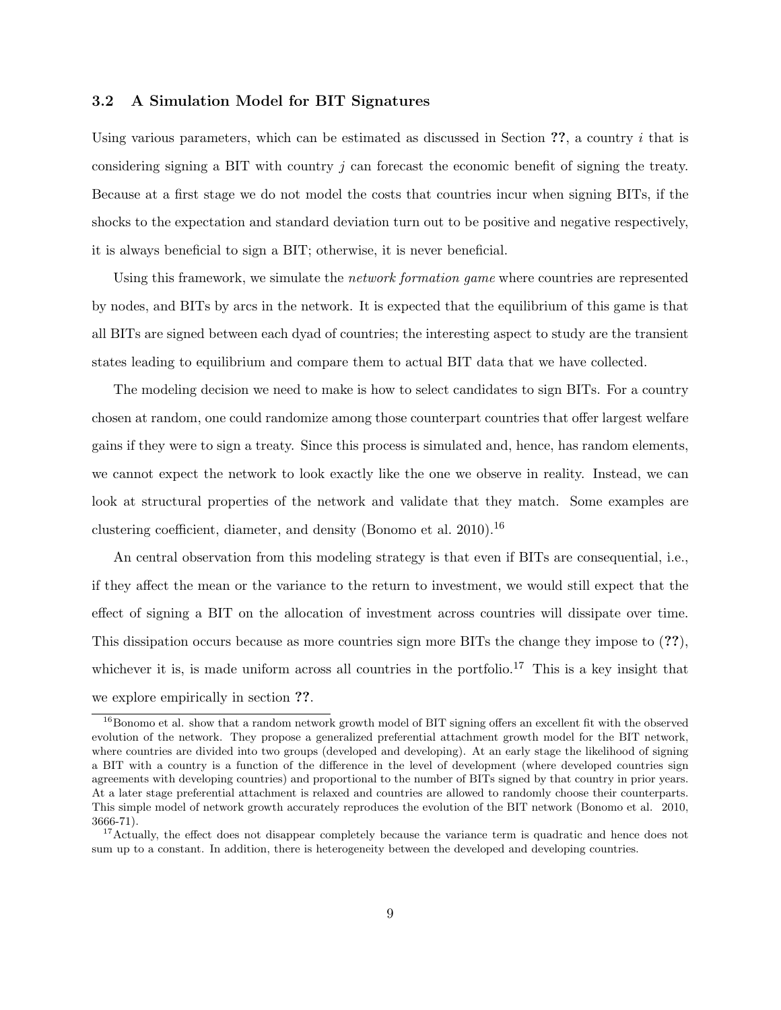#### 3.2 A Simulation Model for BIT Signatures

Using various parameters, which can be estimated as discussed in Section  $\gamma$ , a country i that is considering signing a BIT with country  $j$  can forecast the economic benefit of signing the treaty. Because at a first stage we do not model the costs that countries incur when signing BITs, if the shocks to the expectation and standard deviation turn out to be positive and negative respectively, it is always beneficial to sign a BIT; otherwise, it is never beneficial.

Using this framework, we simulate the *network formation game* where countries are represented by nodes, and BITs by arcs in the network. It is expected that the equilibrium of this game is that all BITs are signed between each dyad of countries; the interesting aspect to study are the transient states leading to equilibrium and compare them to actual BIT data that we have collected.

The modeling decision we need to make is how to select candidates to sign BITs. For a country chosen at random, one could randomize among those counterpart countries that offer largest welfare gains if they were to sign a treaty. Since this process is simulated and, hence, has random elements, we cannot expect the network to look exactly like the one we observe in reality. Instead, we can look at structural properties of the network and validate that they match. Some examples are clustering coefficient, diameter, and density (Bonomo et al. 2010).<sup>16</sup>

An central observation from this modeling strategy is that even if BITs are consequential, i.e., if they affect the mean or the variance to the return to investment, we would still expect that the effect of signing a BIT on the allocation of investment across countries will dissipate over time. This dissipation occurs because as more countries sign more BITs the change they impose to (??), whichever it is, is made uniform across all countries in the portfolio.<sup>17</sup> This is a key insight that we explore empirically in section ??.

<sup>&</sup>lt;sup>16</sup>Bonomo et al. show that a random network growth model of BIT signing offers an excellent fit with the observed evolution of the network. They propose a generalized preferential attachment growth model for the BIT network, where countries are divided into two groups (developed and developing). At an early stage the likelihood of signing a BIT with a country is a function of the difference in the level of development (where developed countries sign agreements with developing countries) and proportional to the number of BITs signed by that country in prior years. At a later stage preferential attachment is relaxed and countries are allowed to randomly choose their counterparts. This simple model of network growth accurately reproduces the evolution of the BIT network (Bonomo et al. 2010, 3666-71).

<sup>&</sup>lt;sup>17</sup>Actually, the effect does not disappear completely because the variance term is quadratic and hence does not sum up to a constant. In addition, there is heterogeneity between the developed and developing countries.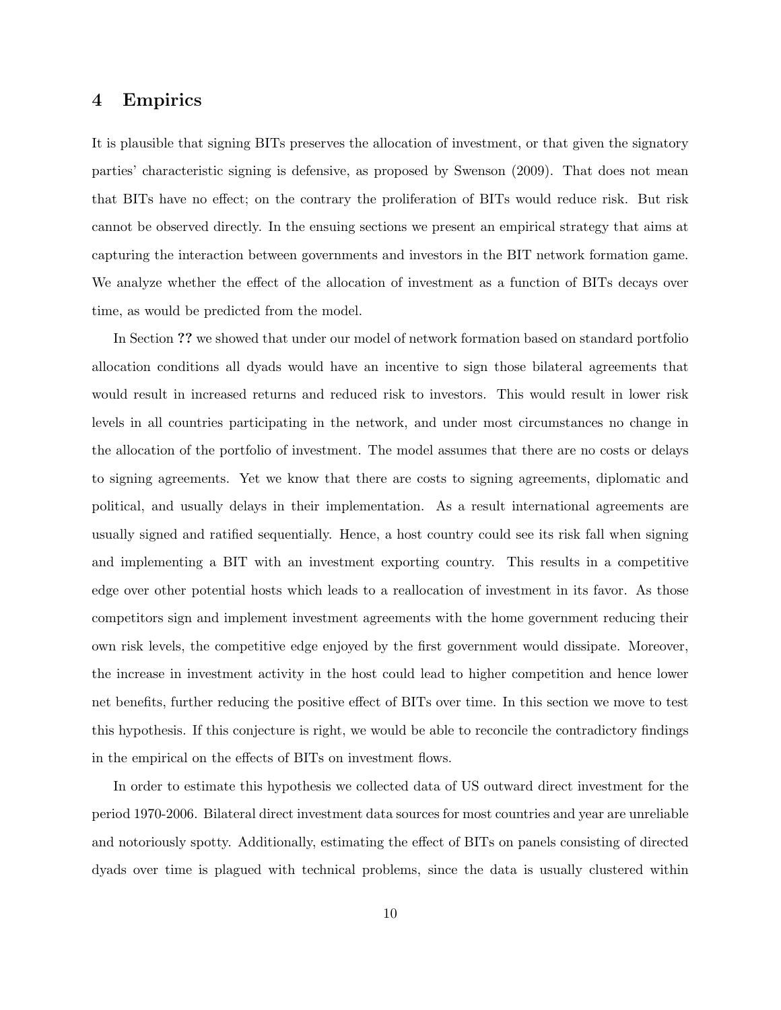#### 4 Empirics

It is plausible that signing BITs preserves the allocation of investment, or that given the signatory parties' characteristic signing is defensive, as proposed by Swenson (2009). That does not mean that BITs have no effect; on the contrary the proliferation of BITs would reduce risk. But risk cannot be observed directly. In the ensuing sections we present an empirical strategy that aims at capturing the interaction between governments and investors in the BIT network formation game. We analyze whether the effect of the allocation of investment as a function of BITs decays over time, as would be predicted from the model.

In Section ?? we showed that under our model of network formation based on standard portfolio allocation conditions all dyads would have an incentive to sign those bilateral agreements that would result in increased returns and reduced risk to investors. This would result in lower risk levels in all countries participating in the network, and under most circumstances no change in the allocation of the portfolio of investment. The model assumes that there are no costs or delays to signing agreements. Yet we know that there are costs to signing agreements, diplomatic and political, and usually delays in their implementation. As a result international agreements are usually signed and ratified sequentially. Hence, a host country could see its risk fall when signing and implementing a BIT with an investment exporting country. This results in a competitive edge over other potential hosts which leads to a reallocation of investment in its favor. As those competitors sign and implement investment agreements with the home government reducing their own risk levels, the competitive edge enjoyed by the first government would dissipate. Moreover, the increase in investment activity in the host could lead to higher competition and hence lower net benefits, further reducing the positive effect of BITs over time. In this section we move to test this hypothesis. If this conjecture is right, we would be able to reconcile the contradictory findings in the empirical on the effects of BITs on investment flows.

In order to estimate this hypothesis we collected data of US outward direct investment for the period 1970-2006. Bilateral direct investment data sources for most countries and year are unreliable and notoriously spotty. Additionally, estimating the effect of BITs on panels consisting of directed dyads over time is plagued with technical problems, since the data is usually clustered within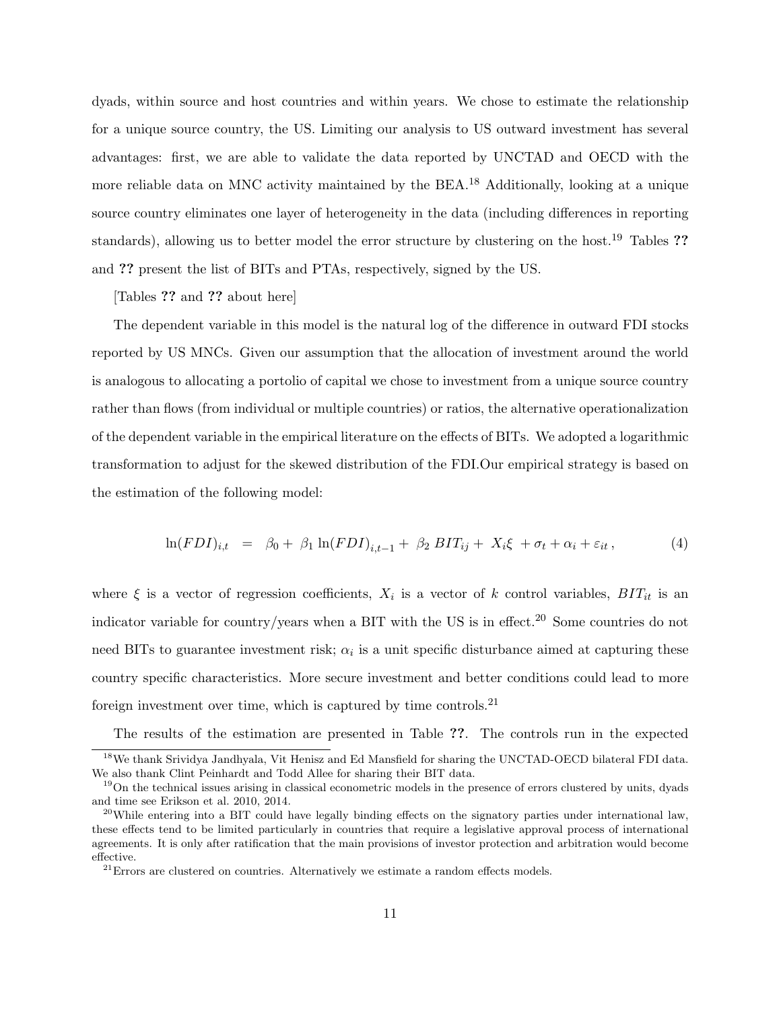dyads, within source and host countries and within years. We chose to estimate the relationship for a unique source country, the US. Limiting our analysis to US outward investment has several advantages: first, we are able to validate the data reported by UNCTAD and OECD with the more reliable data on MNC activity maintained by the  $BEA$ <sup>18</sup> Additionally, looking at a unique source country eliminates one layer of heterogeneity in the data (including differences in reporting standards), allowing us to better model the error structure by clustering on the host.<sup>19</sup> Tables ?? and ?? present the list of BITs and PTAs, respectively, signed by the US.

[Tables ?? and ?? about here]

The dependent variable in this model is the natural log of the difference in outward FDI stocks reported by US MNCs. Given our assumption that the allocation of investment around the world is analogous to allocating a portolio of capital we chose to investment from a unique source country rather than flows (from individual or multiple countries) or ratios, the alternative operationalization of the dependent variable in the empirical literature on the effects of BITs. We adopted a logarithmic transformation to adjust for the skewed distribution of the FDI.Our empirical strategy is based on the estimation of the following model:

$$
\ln(FDI)_{i,t} = \beta_0 + \beta_1 \ln(FDI)_{i,t-1} + \beta_2 \, BIT_{ij} + X_i \xi + \sigma_t + \alpha_i + \varepsilon_{it}, \tag{4}
$$

where  $\xi$  is a vector of regression coefficients,  $X_i$  is a vector of k control variables,  $BIT_{it}$  is an indicator variable for country/years when a BIT with the US is in effect.<sup>20</sup> Some countries do not need BITs to guarantee investment risk;  $\alpha_i$  is a unit specific disturbance aimed at capturing these country specific characteristics. More secure investment and better conditions could lead to more foreign investment over time, which is captured by time controls. $^{21}$ 

The results of the estimation are presented in Table ??. The controls run in the expected <sup>18</sup>We thank Srividya Jandhyala, Vit Henisz and Ed Mansfield for sharing the UNCTAD-OECD bilateral FDI data. We also thank Clint Peinhardt and Todd Allee for sharing their BIT data.

<sup>&</sup>lt;sup>19</sup>On the technical issues arising in classical econometric models in the presence of errors clustered by units, dyads and time see Erikson et al. 2010, 2014.

 $^{20}$ While entering into a BIT could have legally binding effects on the signatory parties under international law, these effects tend to be limited particularly in countries that require a legislative approval process of international agreements. It is only after ratification that the main provisions of investor protection and arbitration would become effective.

 $21$ Errors are clustered on countries. Alternatively we estimate a random effects models.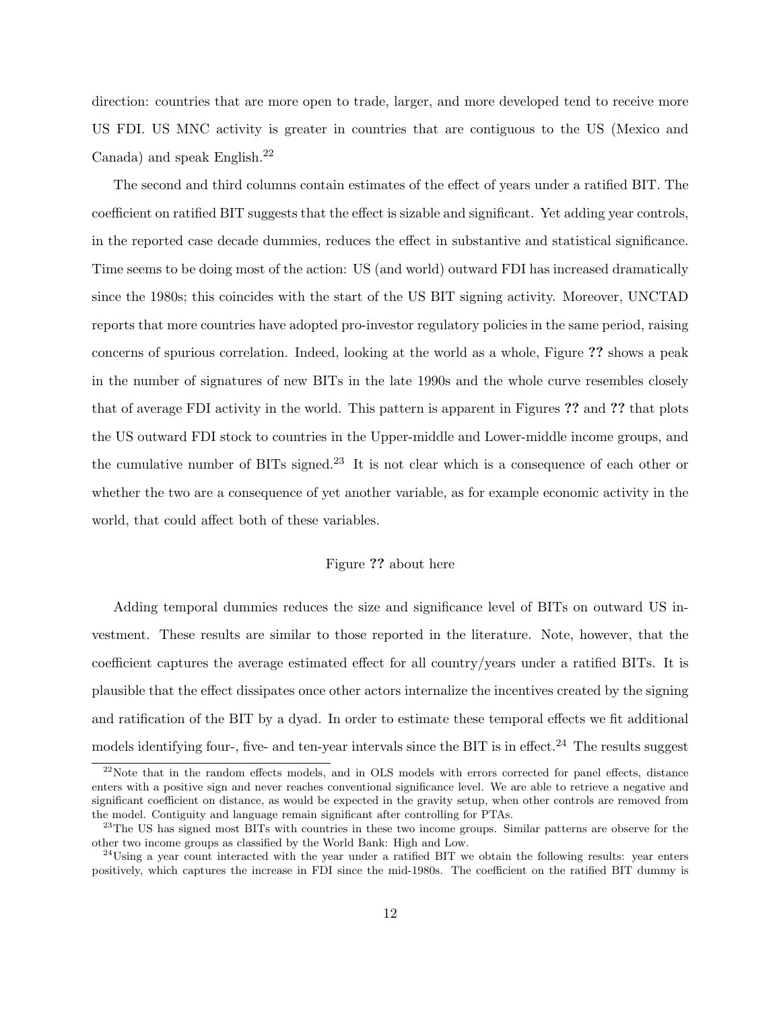direction: countries that are more open to trade, larger, and more developed tend to receive more US FDI. US MNC activity is greater in countries that are contiguous to the US (Mexico and Canada) and speak English.<sup>22</sup>

The second and third columns contain estimates of the effect of years under a ratified BIT. The coefficient on ratified BIT suggests that the effect is sizable and significant. Yet adding year controls, in the reported case decade dummies, reduces the effect in substantive and statistical significance. Time seems to be doing most of the action: US (and world) outward FDI has increased dramatically since the 1980s; this coincides with the start of the US BIT signing activity. Moreover, UNCTAD reports that more countries have adopted pro-investor regulatory policies in the same period, raising concerns of spurious correlation. Indeed, looking at the world as a whole, Figure ?? shows a peak in the number of signatures of new BITs in the late 1990s and the whole curve resembles closely that of average FDI activity in the world. This pattern is apparent in Figures ?? and ?? that plots the US outward FDI stock to countries in the Upper-middle and Lower-middle income groups, and the cumulative number of BITs signed.<sup>23</sup> It is not clear which is a consequence of each other or whether the two are a consequence of yet another variable, as for example economic activity in the world, that could affect both of these variables.

#### Figure ?? about here

Adding temporal dummies reduces the size and significance level of BITs on outward US investment. These results are similar to those reported in the literature. Note, however, that the coefficient captures the average estimated effect for all country/years under a ratified BITs. It is plausible that the effect dissipates once other actors internalize the incentives created by the signing and ratification of the BIT by a dyad. In order to estimate these temporal effects we fit additional models identifying four-, five- and ten-year intervals since the BIT is in effect.<sup>24</sup> The results suggest

<sup>&</sup>lt;sup>22</sup>Note that in the random effects models, and in OLS models with errors corrected for panel effects, distance enters with a positive sign and never reaches conventional significance level. We are able to retrieve a negative and significant coefficient on distance, as would be expected in the gravity setup, when other controls are removed from the model. Contiguity and language remain significant after controlling for PTAs.

<sup>&</sup>lt;sup>23</sup>The US has signed most BITs with countries in these two income groups. Similar patterns are observe for the other two income groups as classified by the World Bank: High and Low.

 $^{24}$ Using a year count interacted with the year under a ratified BIT we obtain the following results: year enters positively, which captures the increase in FDI since the mid-1980s. The coefficient on the ratified BIT dummy is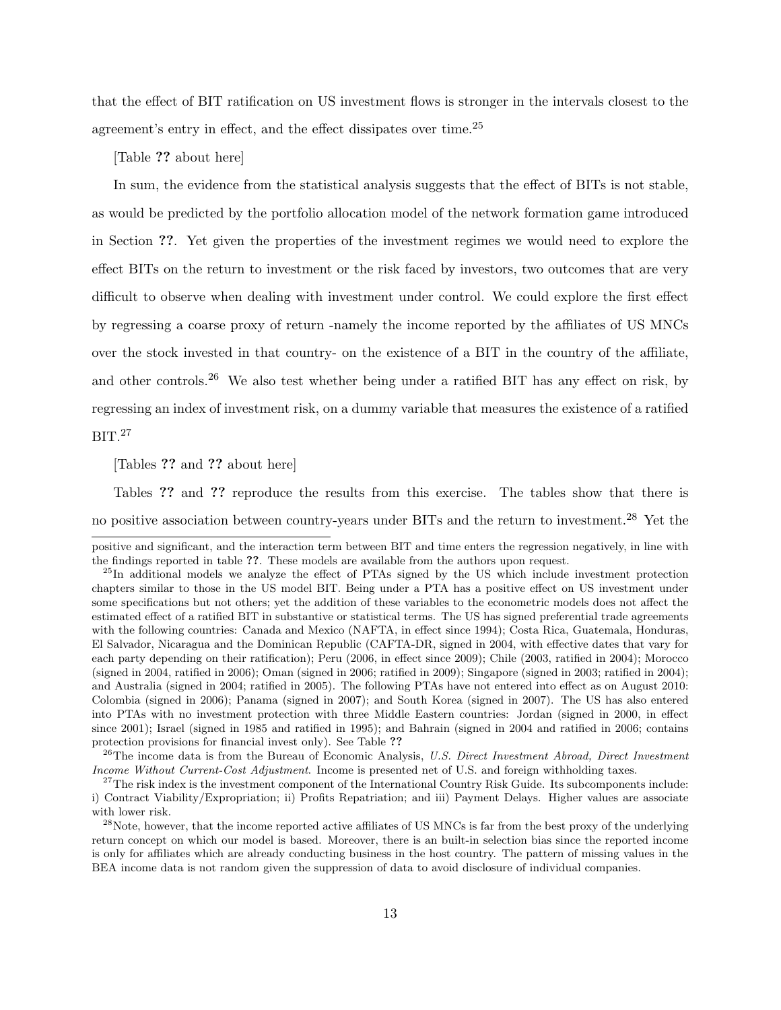that the effect of BIT ratification on US investment flows is stronger in the intervals closest to the agreement's entry in effect, and the effect dissipates over time.<sup>25</sup>

[Table ?? about here]

In sum, the evidence from the statistical analysis suggests that the effect of BITs is not stable, as would be predicted by the portfolio allocation model of the network formation game introduced in Section ??. Yet given the properties of the investment regimes we would need to explore the effect BITs on the return to investment or the risk faced by investors, two outcomes that are very difficult to observe when dealing with investment under control. We could explore the first effect by regressing a coarse proxy of return -namely the income reported by the affiliates of US MNCs over the stock invested in that country- on the existence of a BIT in the country of the affiliate, and other controls.<sup>26</sup> We also test whether being under a ratified BIT has any effect on risk, by regressing an index of investment risk, on a dummy variable that measures the existence of a ratified BIT.<sup>27</sup>

[Tables ?? and ?? about here]

Tables ?? and ?? reproduce the results from this exercise. The tables show that there is no positive association between country-years under BITs and the return to investment.<sup>28</sup> Yet the

positive and significant, and the interaction term between BIT and time enters the regression negatively, in line with the findings reported in table ??. These models are available from the authors upon request.

<sup>&</sup>lt;sup>25</sup>In additional models we analyze the effect of PTAs signed by the US which include investment protection chapters similar to those in the US model BIT. Being under a PTA has a positive effect on US investment under some specifications but not others; yet the addition of these variables to the econometric models does not affect the estimated effect of a ratified BIT in substantive or statistical terms. The US has signed preferential trade agreements with the following countries: Canada and Mexico (NAFTA, in effect since 1994); Costa Rica, Guatemala, Honduras, El Salvador, Nicaragua and the Dominican Republic (CAFTA-DR, signed in 2004, with effective dates that vary for each party depending on their ratification); Peru (2006, in effect since 2009); Chile (2003, ratified in 2004); Morocco (signed in 2004, ratified in 2006); Oman (signed in 2006; ratified in 2009); Singapore (signed in 2003; ratified in 2004); and Australia (signed in 2004; ratified in 2005). The following PTAs have not entered into effect as on August 2010: Colombia (signed in 2006); Panama (signed in 2007); and South Korea (signed in 2007). The US has also entered into PTAs with no investment protection with three Middle Eastern countries: Jordan (signed in 2000, in effect since 2001); Israel (signed in 1985 and ratified in 1995); and Bahrain (signed in 2004 and ratified in 2006; contains protection provisions for financial invest only). See Table ??

 $^{26}$ The income data is from the Bureau of Economic Analysis, U.S. Direct Investment Abroad, Direct Investment Income Without Current-Cost Adjustment. Income is presented net of U.S. and foreign withholding taxes.

<sup>&</sup>lt;sup>27</sup>The risk index is the investment component of the International Country Risk Guide. Its subcomponents include: i) Contract Viability/Expropriation; ii) Profits Repatriation; and iii) Payment Delays. Higher values are associate with lower risk.

<sup>&</sup>lt;sup>28</sup>Note, however, that the income reported active affiliates of US MNCs is far from the best proxy of the underlying return concept on which our model is based. Moreover, there is an built-in selection bias since the reported income is only for affiliates which are already conducting business in the host country. The pattern of missing values in the BEA income data is not random given the suppression of data to avoid disclosure of individual companies.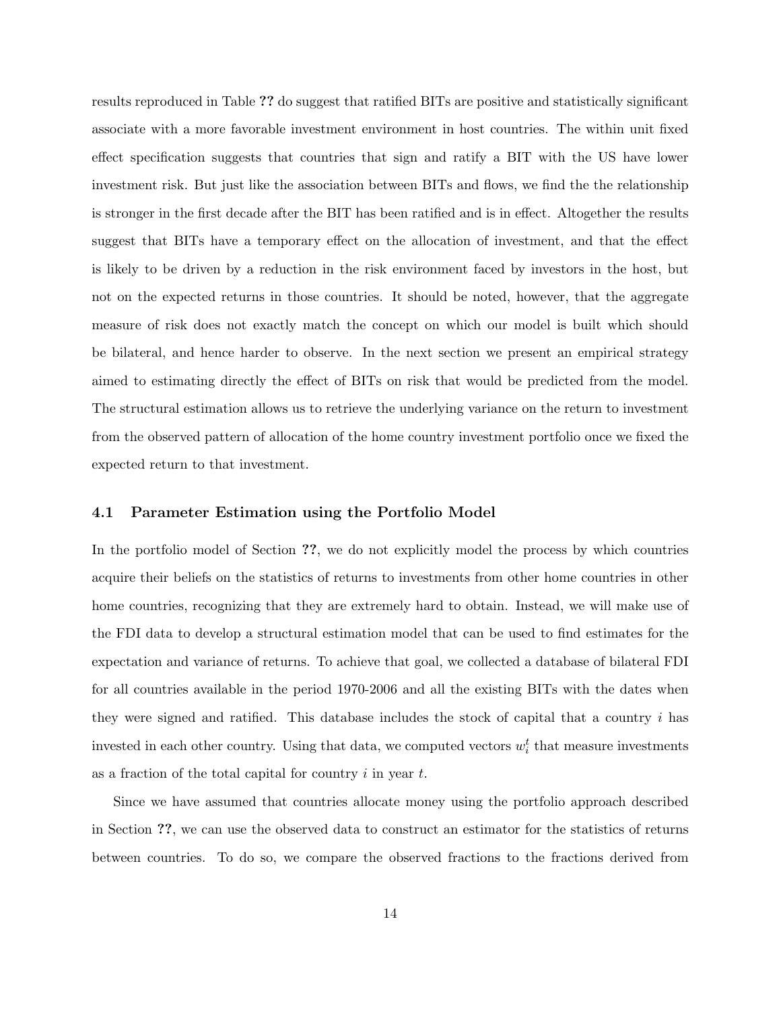results reproduced in Table ?? do suggest that ratified BITs are positive and statistically significant associate with a more favorable investment environment in host countries. The within unit fixed effect specification suggests that countries that sign and ratify a BIT with the US have lower investment risk. But just like the association between BITs and flows, we find the the relationship is stronger in the first decade after the BIT has been ratified and is in effect. Altogether the results suggest that BITs have a temporary effect on the allocation of investment, and that the effect is likely to be driven by a reduction in the risk environment faced by investors in the host, but not on the expected returns in those countries. It should be noted, however, that the aggregate measure of risk does not exactly match the concept on which our model is built which should be bilateral, and hence harder to observe. In the next section we present an empirical strategy aimed to estimating directly the effect of BITs on risk that would be predicted from the model. The structural estimation allows us to retrieve the underlying variance on the return to investment from the observed pattern of allocation of the home country investment portfolio once we fixed the expected return to that investment.

#### 4.1 Parameter Estimation using the Portfolio Model

In the portfolio model of Section ??, we do not explicitly model the process by which countries acquire their beliefs on the statistics of returns to investments from other home countries in other home countries, recognizing that they are extremely hard to obtain. Instead, we will make use of the FDI data to develop a structural estimation model that can be used to find estimates for the expectation and variance of returns. To achieve that goal, we collected a database of bilateral FDI for all countries available in the period 1970-2006 and all the existing BITs with the dates when they were signed and ratified. This database includes the stock of capital that a country i has invested in each other country. Using that data, we computed vectors  $w_i^t$  that measure investments as a fraction of the total capital for country  $i$  in year  $t$ .

Since we have assumed that countries allocate money using the portfolio approach described in Section ??, we can use the observed data to construct an estimator for the statistics of returns between countries. To do so, we compare the observed fractions to the fractions derived from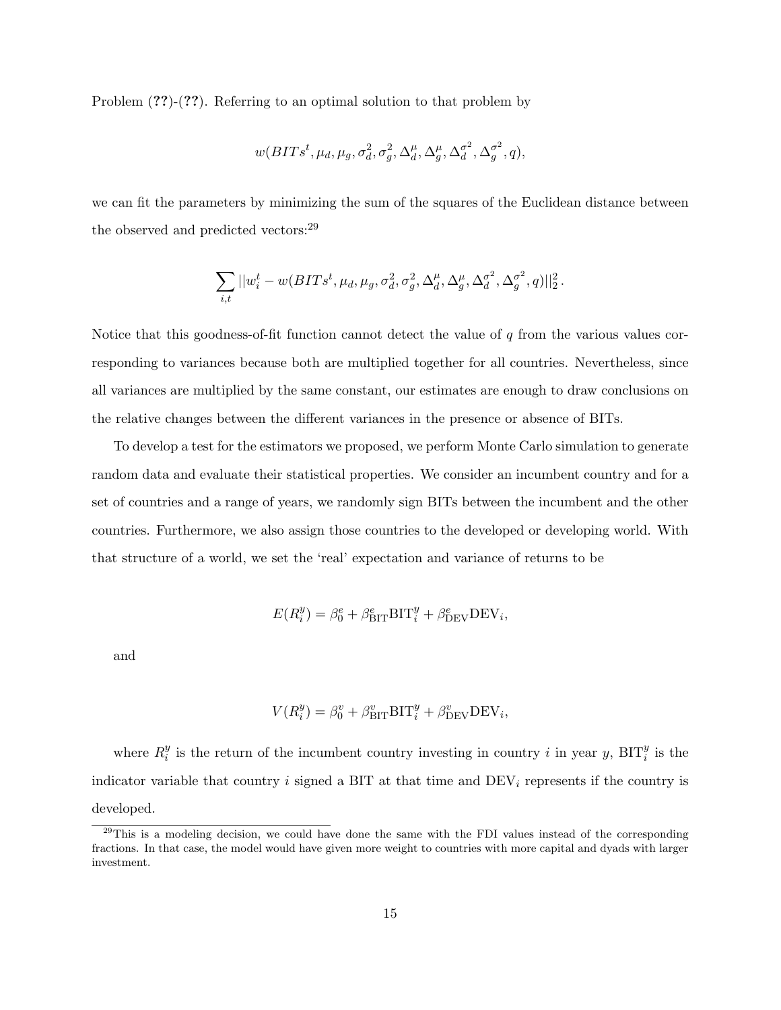Problem (??)-(??). Referring to an optimal solution to that problem by

$$
w(BITs^t, \mu_d, \mu_g, \sigma_d^2, \sigma_g^2, \Delta_d^{\mu}, \Delta_g^{\mu}, \Delta_d^{\sigma^2}, \Delta_g^{\sigma^2}, q),
$$

we can fit the parameters by minimizing the sum of the squares of the Euclidean distance between the observed and predicted vectors:<sup>29</sup>

$$
\sum_{i,t}||w_i^t - w(BITs^t, \mu_d, \mu_g, \sigma_d^2, \sigma_g^2, \Delta_d^{\mu}, \Delta_g^{\mu}, \Delta_d^{\sigma^2}, \Delta_g^{\sigma^2}, q)||_2^2\,.
$$

Notice that this goodness-of-fit function cannot detect the value of  $q$  from the various values corresponding to variances because both are multiplied together for all countries. Nevertheless, since all variances are multiplied by the same constant, our estimates are enough to draw conclusions on the relative changes between the different variances in the presence or absence of BITs.

To develop a test for the estimators we proposed, we perform Monte Carlo simulation to generate random data and evaluate their statistical properties. We consider an incumbent country and for a set of countries and a range of years, we randomly sign BITs between the incumbent and the other countries. Furthermore, we also assign those countries to the developed or developing world. With that structure of a world, we set the 'real' expectation and variance of returns to be

$$
E(R_i^y) = \beta_0^e + \beta_{\text{BIT}}^e \text{BIT}_i^y + \beta_{\text{DEV}}^e \text{DEV}_i,
$$

and

$$
V(R_i^y) = \beta_0^v + \beta_{\rm BIT}^v \rm BIT_i^y + \beta_{\rm DEV}^v \rm DEV_i,
$$

where  $R_i^y$  $_i^y$  is the return of the incumbent country investing in country i in year y, BIT<sub>i</sub><sup>y</sup> is the indicator variable that country i signed a BIT at that time and  $DEV_i$  represents if the country is developed.

<sup>&</sup>lt;sup>29</sup>This is a modeling decision, we could have done the same with the FDI values instead of the corresponding fractions. In that case, the model would have given more weight to countries with more capital and dyads with larger investment.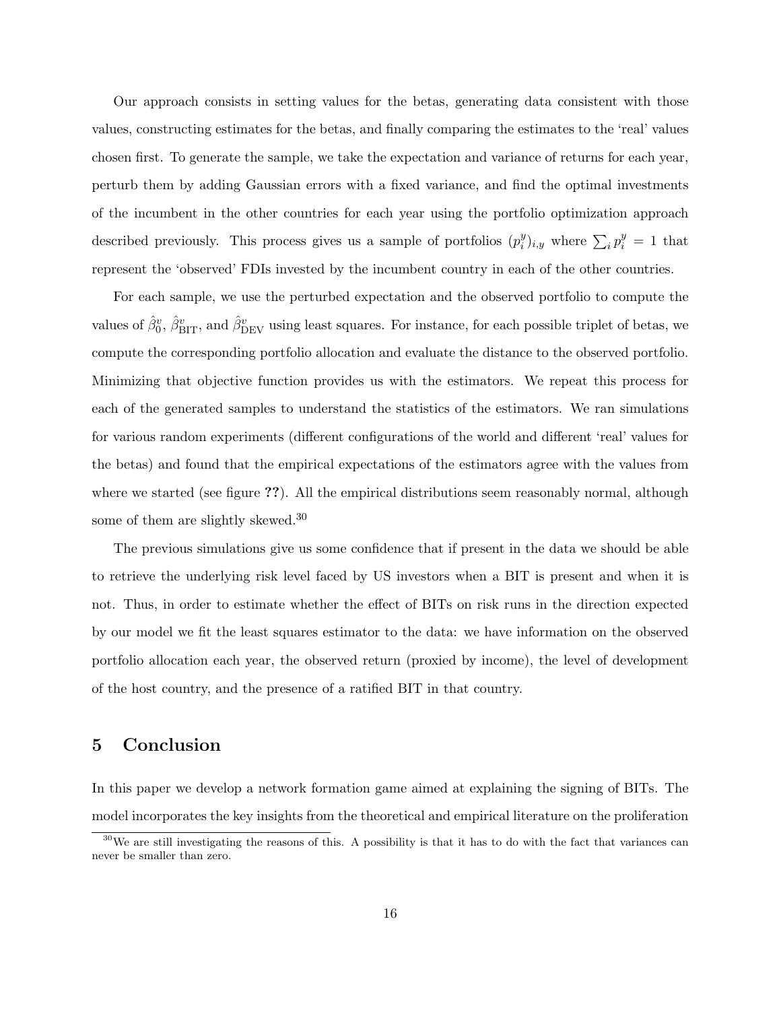Our approach consists in setting values for the betas, generating data consistent with those values, constructing estimates for the betas, and finally comparing the estimates to the 'real' values chosen first. To generate the sample, we take the expectation and variance of returns for each year, perturb them by adding Gaussian errors with a fixed variance, and find the optimal investments of the incumbent in the other countries for each year using the portfolio optimization approach described previously. This process gives us a sample of portfolios  $(p_i^y)$  $j_{i,y}^y$  where  $\sum_i p_i^y = 1$  that represent the 'observed' FDIs invested by the incumbent country in each of the other countries.

For each sample, we use the perturbed expectation and the observed portfolio to compute the values of  $\hat{\beta}_0^v$ ,  $\hat{\beta}_{\text{BIT}}^v$ , and  $\hat{\beta}_{\text{DEV}}^v$  using least squares. For instance, for each possible triplet of betas, we compute the corresponding portfolio allocation and evaluate the distance to the observed portfolio. Minimizing that objective function provides us with the estimators. We repeat this process for each of the generated samples to understand the statistics of the estimators. We ran simulations for various random experiments (different configurations of the world and different 'real' values for the betas) and found that the empirical expectations of the estimators agree with the values from where we started (see figure ??). All the empirical distributions seem reasonably normal, although some of them are slightly skewed.<sup>30</sup>

The previous simulations give us some confidence that if present in the data we should be able to retrieve the underlying risk level faced by US investors when a BIT is present and when it is not. Thus, in order to estimate whether the effect of BITs on risk runs in the direction expected by our model we fit the least squares estimator to the data: we have information on the observed portfolio allocation each year, the observed return (proxied by income), the level of development of the host country, and the presence of a ratified BIT in that country.

### 5 Conclusion

In this paper we develop a network formation game aimed at explaining the signing of BITs. The model incorporates the key insights from the theoretical and empirical literature on the proliferation

 $30\text{We}$  are still investigating the reasons of this. A possibility is that it has to do with the fact that variances can never be smaller than zero.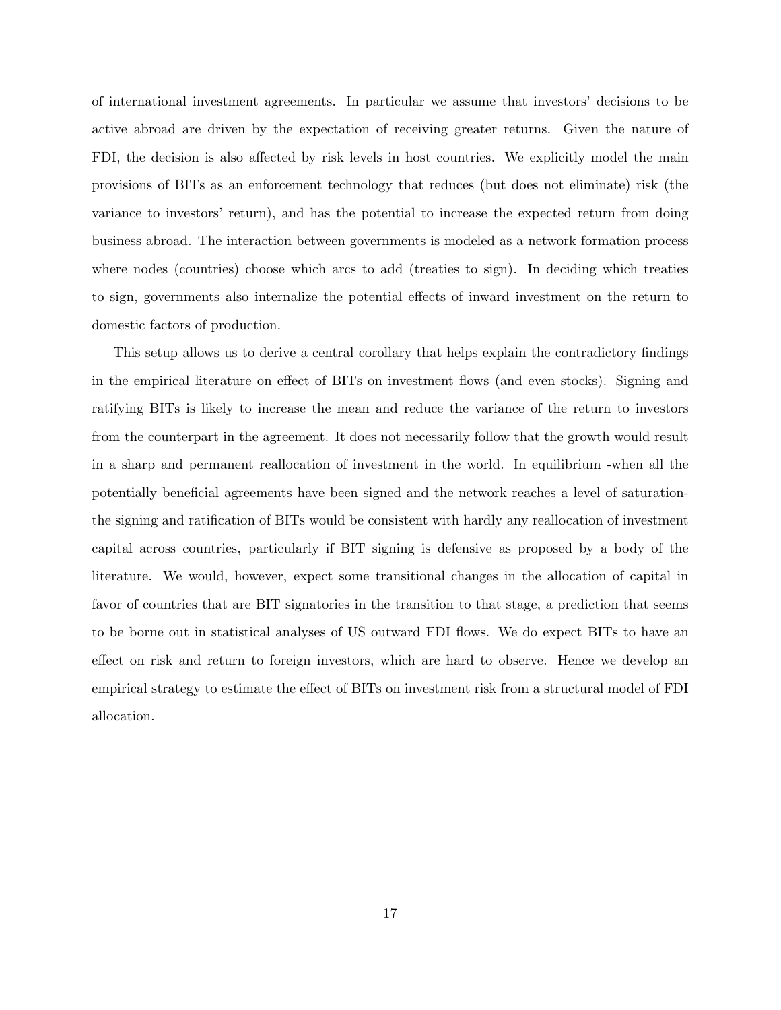of international investment agreements. In particular we assume that investors' decisions to be active abroad are driven by the expectation of receiving greater returns. Given the nature of FDI, the decision is also affected by risk levels in host countries. We explicitly model the main provisions of BITs as an enforcement technology that reduces (but does not eliminate) risk (the variance to investors' return), and has the potential to increase the expected return from doing business abroad. The interaction between governments is modeled as a network formation process where nodes (countries) choose which arcs to add (treaties to sign). In deciding which treaties to sign, governments also internalize the potential effects of inward investment on the return to domestic factors of production.

This setup allows us to derive a central corollary that helps explain the contradictory findings in the empirical literature on effect of BITs on investment flows (and even stocks). Signing and ratifying BITs is likely to increase the mean and reduce the variance of the return to investors from the counterpart in the agreement. It does not necessarily follow that the growth would result in a sharp and permanent reallocation of investment in the world. In equilibrium -when all the potentially beneficial agreements have been signed and the network reaches a level of saturationthe signing and ratification of BITs would be consistent with hardly any reallocation of investment capital across countries, particularly if BIT signing is defensive as proposed by a body of the literature. We would, however, expect some transitional changes in the allocation of capital in favor of countries that are BIT signatories in the transition to that stage, a prediction that seems to be borne out in statistical analyses of US outward FDI flows. We do expect BITs to have an effect on risk and return to foreign investors, which are hard to observe. Hence we develop an empirical strategy to estimate the effect of BITs on investment risk from a structural model of FDI allocation.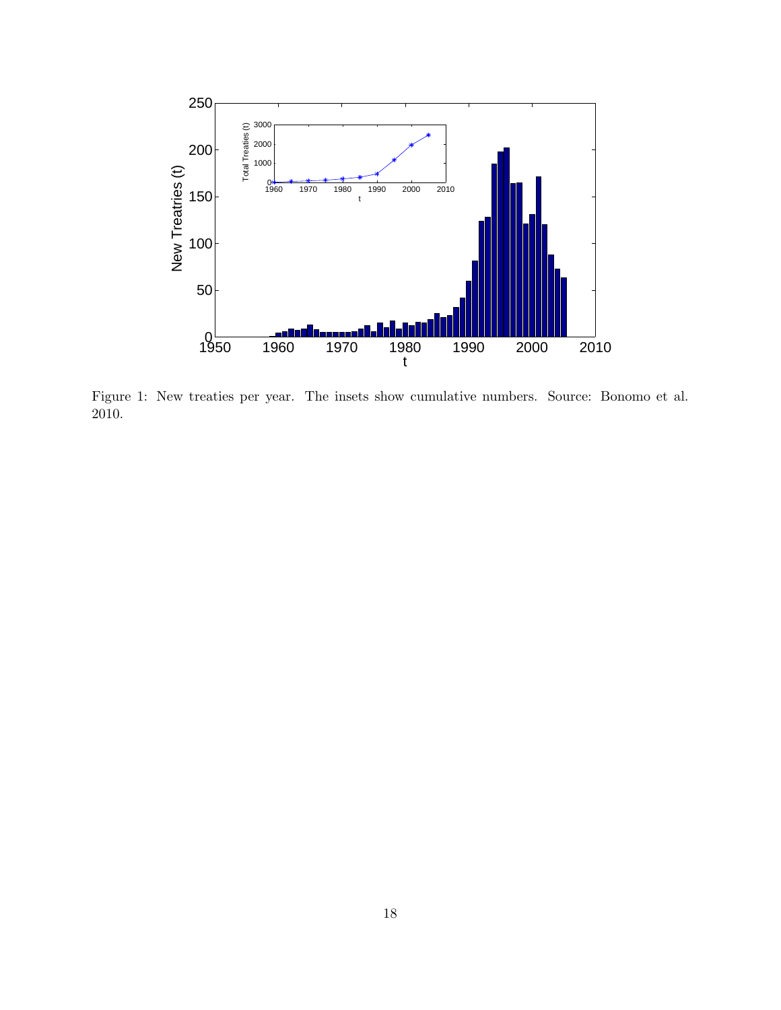

Figure 1: New treaties per year. The insets show cumulative numbers. Source: Bonomo et al. 2010.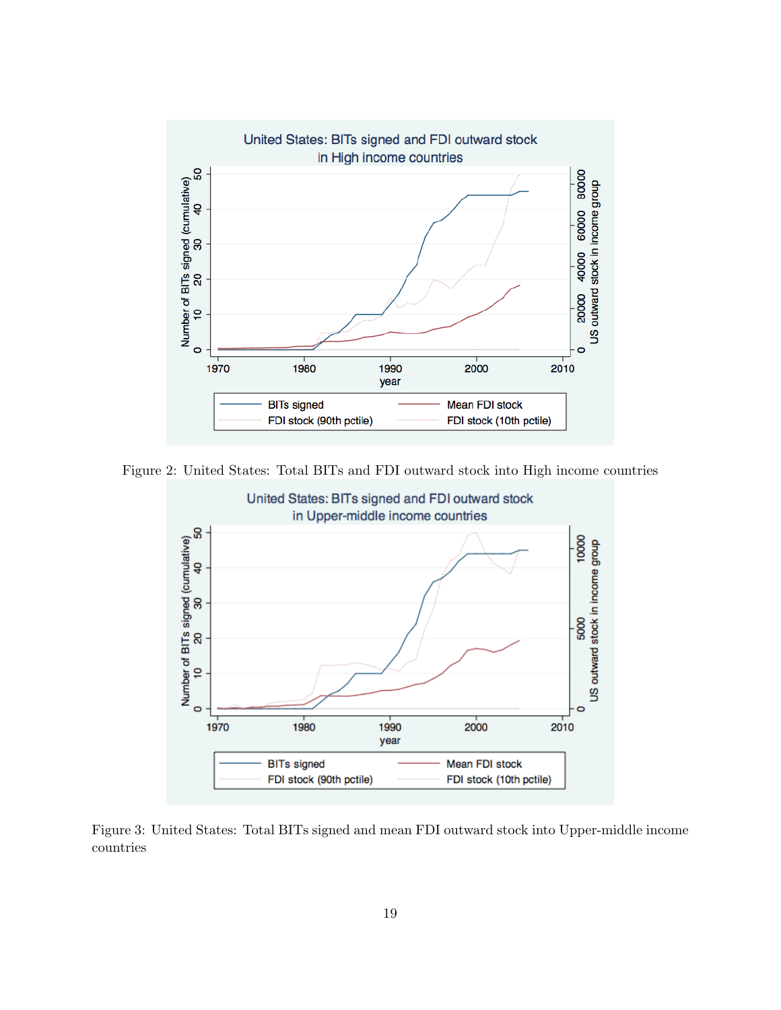

Figure 2: United States: Total BITs and FDI outward stock into High income countries



Figure 3: United States: Total BITs signed and mean FDI outward stock into Upper-middle income countries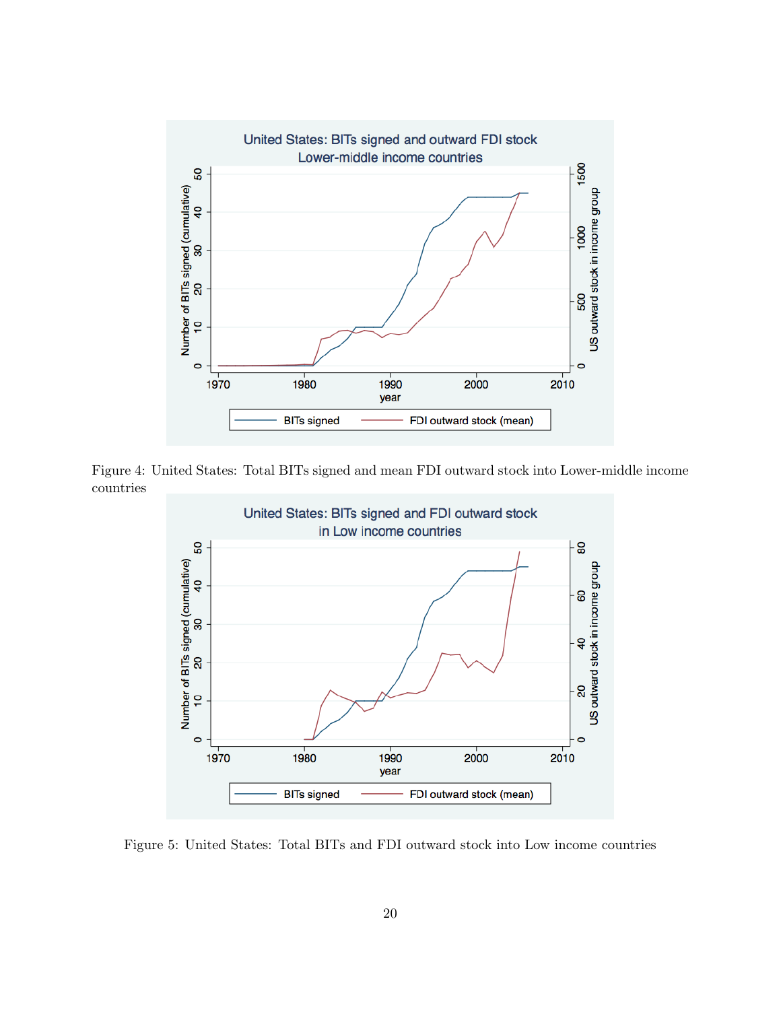

Figure 4: United States: Total BITs signed and mean FDI outward stock into Lower-middle income countries



Figure 5: United States: Total BITs and FDI outward stock into Low income countries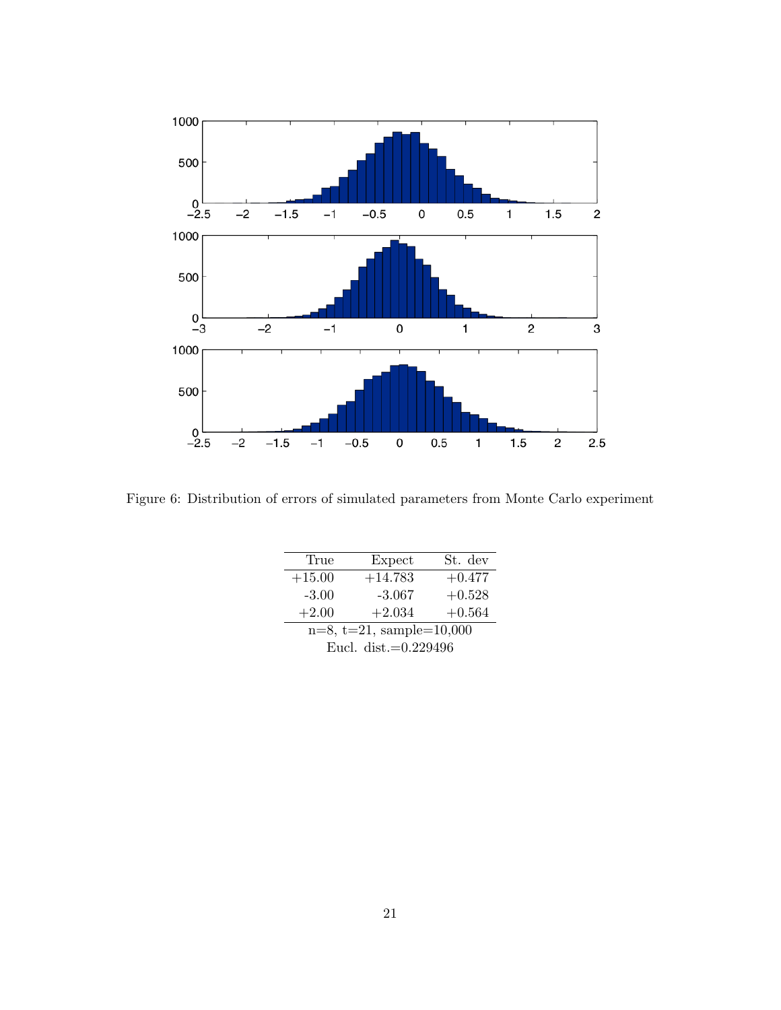

Figure 6: Distribution of errors of simulated parameters from Monte Carlo experiment

| True                           | Expect    | St. dev  |  |  |
|--------------------------------|-----------|----------|--|--|
| $+15.00$                       | $+14.783$ | $+0.477$ |  |  |
| $-3.00$                        | $-3.067$  | $+0.528$ |  |  |
| $+2.00$                        | $+2.034$  | $+0.564$ |  |  |
| $n=8$ , $t=21$ , sample=10,000 |           |          |  |  |

| $n = 0, v = 21, v,$     |  |
|-------------------------|--|
| Eucl. dist. $=0.229496$ |  |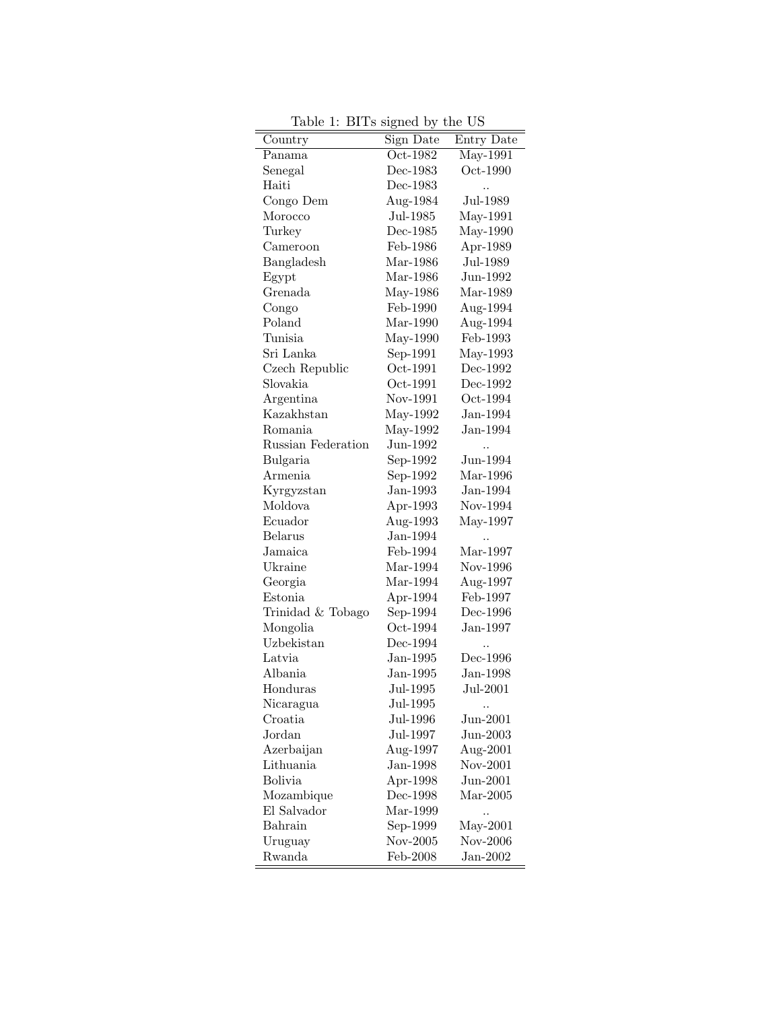| Country                 | Sign Date<br>Oct-1982 | Entry Date |
|-------------------------|-----------------------|------------|
| Panama                  |                       | May-1991   |
| Senegal                 | Dec-1983              | Oct-1990   |
| Haiti                   | Dec-1983              |            |
| Congo Dem               | Aug-1984              | Jul-1989   |
| Morocco                 | Jul-1985              | May-1991   |
| Turkey                  | Dec-1985              | May-1990   |
| Cameroon                | Feb-1986              | Apr-1989   |
| Bangladesh              | Mar-1986              | $Jul-1989$ |
| Egypt                   | Mar-1986              | Jun-1992   |
| Grenada                 | May-1986              | Mar-1989   |
| Congo                   | Feb-1990              | Aug-1994   |
| Poland                  | Mar-1990              | Aug-1994   |
| Tunisia                 | May-1990              | Feb-1993   |
| Sri Lanka               | Sep-1991              | May-1993   |
| Czech Republic          | Oct-1991              | Dec-1992   |
| Slovakia                | Oct-1991              | Dec-1992   |
| Argentina               | Nov-1991              | Oct-1994   |
| Kazakhstan              | May-1992              | $Jan-1994$ |
| Romania                 | May-1992              | $Jan-1994$ |
| Russian Federation      | Jun-1992              |            |
| Bulgaria                | Sep-1992              | Jun-1994   |
| Armenia                 | Sep-1992              | Mar-1996   |
| Kyrgyzstan              | $Jan-1993$            | $Jan-1994$ |
| Moldova                 | Apr-1993              | Nov-1994   |
| Ecuador                 | Aug-1993              | May-1997   |
| <b>Belarus</b>          | $Jan-1994$            |            |
| Jamaica                 | Feb-1994              | Mar-1997   |
| Ukraine                 | Mar-1994              | Nov-1996   |
| Georgia                 | Mar-1994              | Aug-1997   |
| Estonia                 | Apr-1994              | Feb-1997   |
| Trinidad & Tobago       | Sep-1994              | Dec-1996   |
| Mongolia                | Oct-1994              | $Jan-1997$ |
| Uzbekistan              | Dec-1994              |            |
| Latvia                  | $Jan-1995$            | Dec-1996   |
| Albania                 | $Jan-1995$            | $Jan-1998$ |
| Honduras                | Jul-1995              | Jul-2001   |
| Nicaragua               | Jul-1995              |            |
| Croatia                 | Jul-1996              | $Jun-2001$ |
| Jordan                  | Jul-1997              | $Jun-2003$ |
|                         |                       |            |
| Azerbaijan<br>Lithuania | Aug-1997              | Aug-2001   |
| Bolivia                 | $Jan-1998$            | Nov-2001   |
|                         | Apr-1998              | Jun-2001   |
| Mozambique              | Dec-1998              | $Mar-2005$ |
| El Salvador             | Mar-1999              |            |
| Bahrain                 | Sep-1999              | $May-2001$ |
| Uruguay                 | Nov-2005              | Nov-2006   |
| Rwanda                  | Feb-2008              | $Jan-2002$ |

Table 1: BITs signed by the US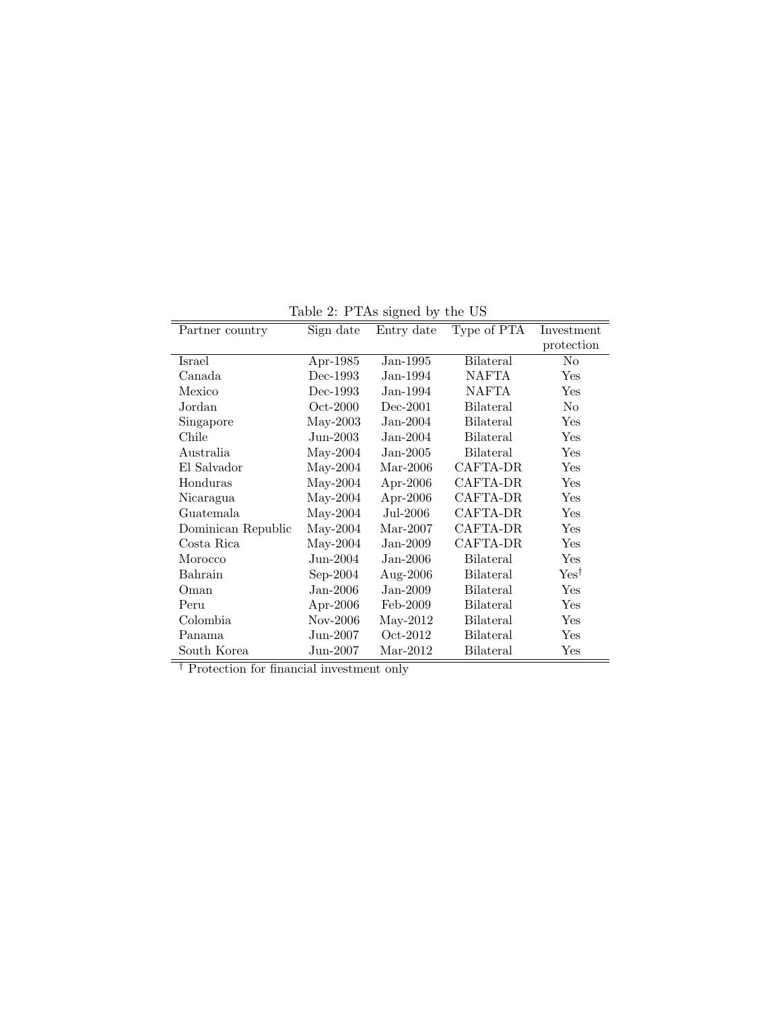| Partner country    | Sign date  | Entry date  | Type of PTA      | Investment           |
|--------------------|------------|-------------|------------------|----------------------|
|                    |            |             |                  | protection           |
| Israel             | Apr-1985   | $Jan-1995$  | <b>Bilateral</b> | No                   |
| Canada             | Dec-1993   | $Jan-1994$  | NAFTA            | $\operatorname{Yes}$ |
| Mexico             | Dec-1993   | $Jan-1994$  | <b>NAFTA</b>     | Yes                  |
| Jordan             | $Oct-2000$ | $Dec-2001$  | <b>Bilateral</b> | No                   |
| Singapore          | $May-2003$ | $Jan-2004$  | <b>Bilateral</b> | Yes                  |
| Chile              | $Jun-2003$ | $Jan-2004$  | Bilateral        | Yes                  |
| Australia          | $May-2004$ | $Jan-2005$  | <b>Bilateral</b> | Yes                  |
| El Salvador        | $May-2004$ | $Mar-2006$  | CAFTA-DR         | Yes                  |
| Honduras           | $May-2004$ | Apr-2006    | CAFTA-DR         | Yes                  |
| Nicaragua          | $May-2004$ | Apr-2006    | CAFTA-DR         | Yes                  |
| Guatemala          | $May-2004$ | Jul-2006    | CAFTA-DR         | Yes                  |
| Dominican Republic | $May-2004$ | $Mar-2007$  | CAFTA-DR         | Yes                  |
| Costa Rica         | $May-2004$ | $Jan-2009$  | CAFTA-DR         | Yes                  |
| Morocco            | Jun-2004   | $Jan-2006$  | <b>Bilateral</b> | Yes                  |
| Bahrain            | $Sep-2004$ | Aug- $2006$ | Bilateral        | $Yes^{\dagger}$      |
| Oman               | $Jan-2006$ | $Jan-2009$  | <b>Bilateral</b> | Yes                  |
| Peru               | Apr-2006   | Feb-2009    | <b>Bilateral</b> | Yes                  |
| Colombia           | Nov-2006   | $May-2012$  | <b>Bilateral</b> | Yes                  |
| Panama             | $Jun-2007$ | Oct-2012    | <b>Bilateral</b> | Yes                  |
| South Korea        | Jun-2007   | $Mar-2012$  | Bilateral        | Yes                  |

Table 2: PTAs signed by the US

† Protection for financial investment only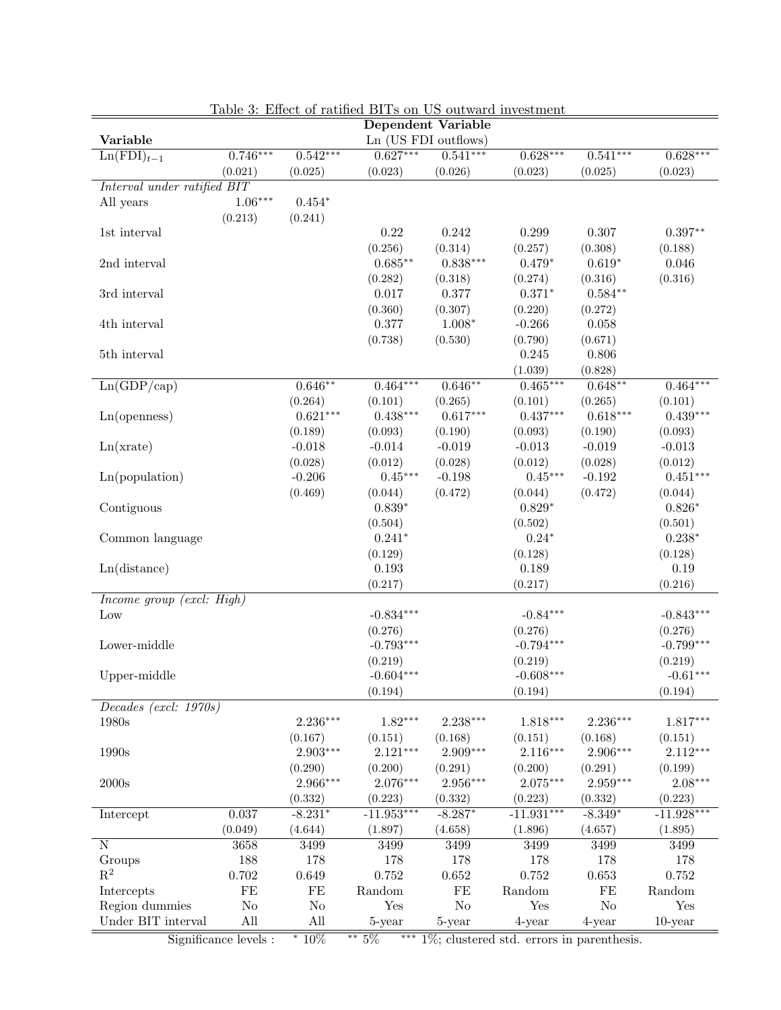| <b>LATOLE OF TWOLFFUL</b><br>DITS OIL OD OUGWARD IIIVCSGIRCH<br><b>Dependent Variable</b> |            |                       |                      |                     |                      |                      |                       |
|-------------------------------------------------------------------------------------------|------------|-----------------------|----------------------|---------------------|----------------------|----------------------|-----------------------|
| Variable                                                                                  |            |                       | Ln (US FDI outflows) |                     |                      |                      |                       |
| $\overline{\text{Ln}(\text{FDI})_{t-1}}$                                                  | $0.746***$ | $0.542***$            | $0.627***$           | $0.541***$          | $0.628***$           | $0.541***$           | $0.628***$            |
|                                                                                           | (0.021)    | (0.025)               | (0.023)              | (0.026)             | (0.023)              | (0.025)              | (0.023)               |
| $\emph{Interval~under~ratified~BIT}$                                                      |            |                       |                      |                     |                      |                      |                       |
| All years                                                                                 | $1.06***$  | $0.454*$              |                      |                     |                      |                      |                       |
|                                                                                           | (0.213)    | (0.241)               |                      |                     |                      |                      |                       |
| 1st interval                                                                              |            |                       | 0.22                 | 0.242               | 0.299                | 0.307                | $0.397**$             |
|                                                                                           |            |                       | (0.256)              | (0.314)             | (0.257)              | (0.308)              | (0.188)               |
| 2nd interval                                                                              |            |                       | $0.685**$            | $0.838***$          | $0.479*$             | $0.619*$             | 0.046                 |
|                                                                                           |            |                       | (0.282)              | (0.318)             | (0.274)              | (0.316)              | (0.316)               |
| 3rd interval                                                                              |            |                       | $0.017\,$            | 0.377               | $0.371*$             | $0.584**$            |                       |
|                                                                                           |            |                       | (0.360)              | (0.307)             | (0.220)              | (0.272)              |                       |
| 4th interval                                                                              |            |                       | 0.377                | $1.008*$            | $-0.266$             | 0.058                |                       |
|                                                                                           |            |                       | (0.738)              | (0.530)             | (0.790)              | (0.671)              |                       |
| 5th interval                                                                              |            |                       |                      |                     | 0.245                | 0.806                |                       |
|                                                                                           |            |                       | $0.464***$           |                     | (1.039)              | (0.828)<br>$0.648**$ |                       |
| Ln(GDP/cap)                                                                               |            | $0.646**$             |                      | $0.646**$           | $0.465***$           |                      | $0.464***$            |
|                                                                                           |            | (0.264)<br>$0.621***$ | (0.101)              | (0.265)             | (0.101)              | (0.265)              | (0.101)<br>$0.439***$ |
| Ln(openness)                                                                              |            |                       | $0.438***$           | $0.617***$          | $0.437***$           | $0.618***$           |                       |
|                                                                                           |            | (0.189)<br>$-0.018$   | (0.093)<br>$-0.014$  | (0.190)<br>$-0.019$ | (0.093)<br>$-0.013$  | (0.190)<br>$-0.019$  | (0.093)<br>$-0.013$   |
| Ln(xrate)                                                                                 |            |                       |                      |                     |                      | (0.028)              |                       |
|                                                                                           |            | (0.028)<br>$-0.206$   | (0.012)<br>$0.45***$ | (0.028)<br>$-0.198$ | (0.012)<br>$0.45***$ | $-0.192$             | (0.012)<br>$0.451***$ |
| Ln(population)                                                                            |            | (0.469)               | (0.044)              | (0.472)             |                      | (0.472)              | (0.044)               |
| Contiguous                                                                                |            |                       | $0.839*$             |                     | (0.044)<br>$0.829*$  |                      | $0.826*$              |
|                                                                                           |            |                       | (0.504)              |                     | (0.502)              |                      | (0.501)               |
| Common language                                                                           |            |                       | $0.241*$             |                     | $0.24*$              |                      | $0.238*$              |
|                                                                                           |            |                       | (0.129)              |                     | (0.128)              |                      | (0.128)               |
| Ln(distance)                                                                              |            |                       | 0.193                |                     | 0.189                |                      | 0.19                  |
|                                                                                           |            |                       | (0.217)              |                     | (0.217)              |                      | (0.216)               |
| Income group (excl: High)                                                                 |            |                       |                      |                     |                      |                      |                       |
| Low                                                                                       |            |                       | $-0.834***$          |                     | $-0.84***$           |                      | $-0.843***$           |
|                                                                                           |            |                       | (0.276)              |                     | (0.276)              |                      | (0.276)               |
| Lower-middle                                                                              |            |                       | $-0.793***$          |                     | $-0.794***$          |                      | $-0.799***$           |
|                                                                                           |            |                       | (0.219)              |                     | (0.219)              |                      | (0.219)               |
| Upper-middle                                                                              |            |                       | $-0.604***$          |                     | $-0.608***$          |                      | $-0.61***$            |
|                                                                                           |            |                       | (0.194)              |                     | (0.194)              |                      | (0.194)               |
| Decades (excl. $1970s$ )                                                                  |            |                       |                      |                     |                      |                      |                       |
| 1980s                                                                                     |            | 2.236***              | $1.82***$            | $2.238***$          | $1.818***$           | $2.236***$           | $1.817***$            |
|                                                                                           |            | (0.167)               | (0.151)              | (0.168)             | (0.151)              | (0.168)              | (0.151)               |
| 1990s                                                                                     |            | $2.903***$            | $2.121***$           | $2.909***$          | $2.116***$           | $2.906***$           | $2.112***$            |
|                                                                                           |            | (0.290)               | (0.200)              | (0.291)             | (0.200)              | (0.291)              | (0.199)               |
| $2000\mathrm{s}$                                                                          |            | 2.966***              | 2.076***             | 2.956***            | $2.075***$           | $2.959***$           | $2.08***$             |
|                                                                                           |            | (0.332)               | (0.223)              | (0.332)             | (0.223)              | (0.332)              | (0.223)               |
| Intercept                                                                                 | 0.037      | $-8.231*$             | $-11.953***$         | $-8.287*$           | $-11.931***$         | $-8.349*$            | $-11.928***$          |
|                                                                                           | (0.049)    | (4.644)               | (1.897)              | (4.658)             | (1.896)              | (4.657)              | (1.895)               |
| $\overline{\rm N}$                                                                        | 3658       | 3499                  | 3499                 | 3499                | 3499                 | 3499                 | 3499                  |
| Groups                                                                                    | 188        | 178                   | 178                  | 178                 | 178                  | 178                  | 178                   |
| $\mathbf{R}^2$                                                                            | 0.702      | 0.649                 | $0.752\,$            | 0.652               | $0.752\,$            | 0.653                | 0.752                 |
| Intercepts                                                                                | $\rm FE$   | $\rm FE$              | Random               | $\rm FE$            | Random               | FE                   | Random                |
| Region dummies                                                                            | $\rm No$   | $\rm No$              | Yes                  | $\rm No$            | Yes                  | $\rm No$             | Yes                   |
| Under BIT interval                                                                        | All        | All                   | 5-year               | 5-year              | 4-year               | 4-year               | $10$ -year            |
|                                                                                           |            |                       |                      |                     |                      |                      |                       |

Table 3: Effect of ratified BITs on US outward investment

Significance levels : \*  $10\%$  \*\*  $5\%$  \*\*\*  $1\%$ ; clustered std. errors in parenthesis.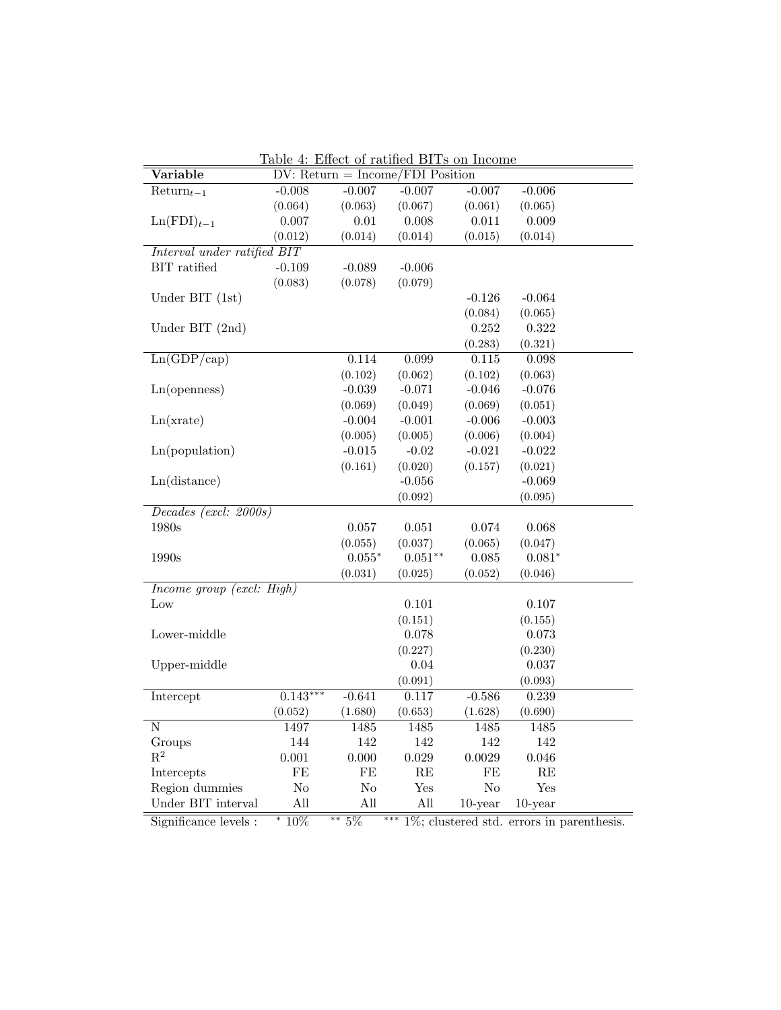| <u> Lable 4: Effect of ratified DIIs off filcome</u><br>Variable<br>$DV: Return = Income/FDI$ Position |            |          |           |                |            |
|--------------------------------------------------------------------------------------------------------|------------|----------|-----------|----------------|------------|
| $Return_{t-1}$                                                                                         | $-0.008$   | $-0.007$ | $-0.007$  | $-0.007$       | $-0.006$   |
|                                                                                                        | (0.064)    | (0.063)  | (0.067)   | (0.061)        | (0.065)    |
| $\text{Ln}(\text{FDI})_{t-1}$                                                                          | 0.007      | 0.01     | 0.008     | 0.011          | 0.009      |
|                                                                                                        | (0.012)    | (0.014)  | (0.014)   | (0.015)        | (0.014)    |
| Interval under ratified BIT                                                                            |            |          |           |                |            |
| BIT ratified                                                                                           | $-0.109$   | $-0.089$ | $-0.006$  |                |            |
|                                                                                                        | (0.083)    | (0.078)  | (0.079)   |                |            |
| Under BIT $(1st)$                                                                                      |            |          |           |                | $-0.064$   |
|                                                                                                        |            |          |           | $-0.126$       |            |
|                                                                                                        |            |          |           | (0.084)        | (0.065)    |
| Under BIT (2nd)                                                                                        |            |          |           | 0.252          | 0.322      |
|                                                                                                        |            |          |           | (0.283)        | (0.321)    |
| Ln(GDP/cap)                                                                                            |            | 0.114    | 0.099     | 0.115          | 0.098      |
|                                                                                                        |            | (0.102)  | (0.062)   | (0.102)        | (0.063)    |
| Ln(openness)                                                                                           |            | $-0.039$ | $-0.071$  | $-0.046$       | $-0.076$   |
|                                                                                                        |            | (0.069)  | (0.049)   | (0.069)        | (0.051)    |
| Ln(xrate)                                                                                              |            | $-0.004$ | $-0.001$  | $-0.006$       | $-0.003$   |
|                                                                                                        |            | (0.005)  | (0.005)   | (0.006)        | (0.004)    |
| Ln(population)                                                                                         |            | $-0.015$ | $-0.02$   | $-0.021$       | $-0.022$   |
|                                                                                                        |            | (0.161)  | (0.020)   | (0.157)        | (0.021)    |
| Ln(distance)                                                                                           |            |          | $-0.056$  |                | $-0.069$   |
|                                                                                                        |            |          | (0.092)   |                | (0.095)    |
| Decades (excl: 2000s)                                                                                  |            |          |           |                |            |
| 1980s                                                                                                  |            | 0.057    | 0.051     | 0.074          | 0.068      |
|                                                                                                        |            | (0.055)  | (0.037)   | (0.065)        | (0.047)    |
| $1990\mathrm{s}$                                                                                       |            | $0.055*$ | $0.051**$ | 0.085          | $0.081*$   |
|                                                                                                        |            | (0.031)  | (0.025)   | (0.052)        | (0.046)    |
| Income group $(excl: High)$                                                                            |            |          |           |                |            |
| $_{\text{Low}}$                                                                                        |            |          | 0.101     |                | 0.107      |
|                                                                                                        |            |          | (0.151)   |                | (0.155)    |
| Lower-middle                                                                                           |            |          | 0.078     |                | 0.073      |
|                                                                                                        |            |          | (0.227)   |                | (0.230)    |
| Upper-middle                                                                                           |            |          | 0.04      |                | 0.037      |
|                                                                                                        |            |          | (0.091)   |                | (0.093)    |
| Intercept                                                                                              | $0.143***$ | $-0.641$ | 0.117     | $-0.586$       | 0.239      |
|                                                                                                        | (0.052)    | (1.680)  | (0.653)   | (1.628)        | (0.690)    |
| $\overline{\text{N}}$                                                                                  | 1497       | 1485     | 1485      | 1485           | 1485       |
| Groups                                                                                                 | 144        | 142      | 142       | 142            | 142        |
| $R^2$                                                                                                  | 0.001      | 0.000    | 0.029     | 0.0029         | 0.046      |
| Intercepts                                                                                             | FE         | FE       | RE        | FE             | RE         |
| Region dummies                                                                                         | No         | No       | Yes       | N <sub>o</sub> | Yes        |
| Under BIT interval                                                                                     | All        | All      | All       | $10$ -year     | $10$ -year |

Table 4: Effect of ratified BITs on Income

Significance levels : <sup>∗</sup> 10% ∗∗ 5% ∗∗∗ 1%; clustered std. errors in parenthesis.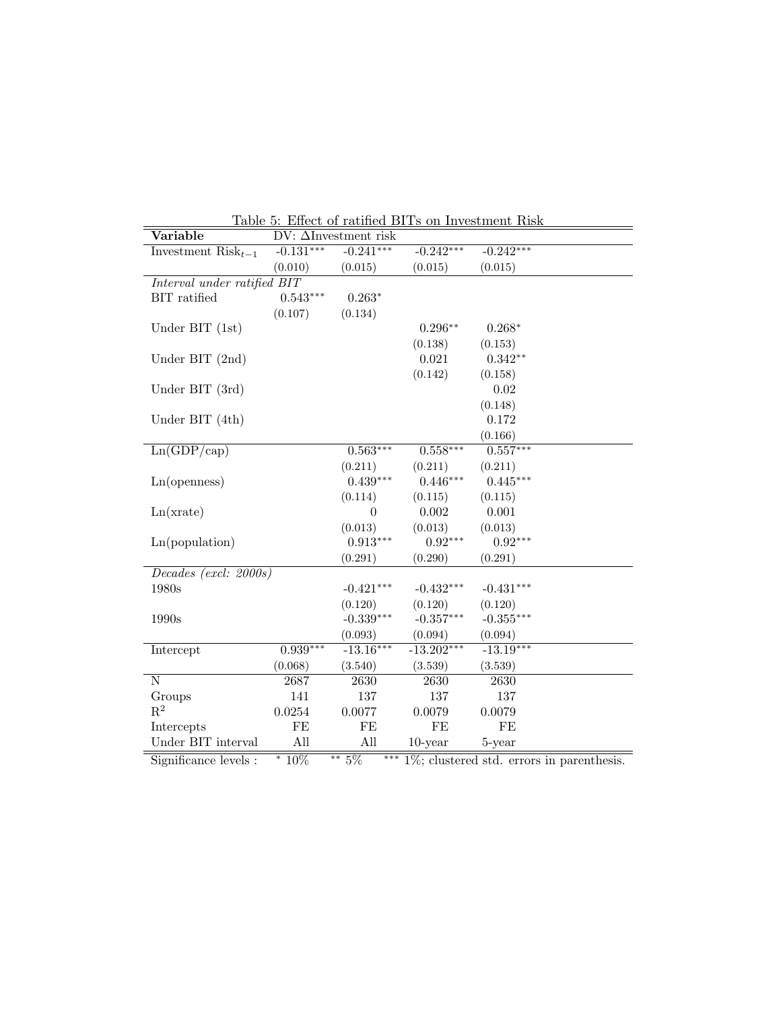| $\rm Variable$              | $DV: \Delta$ Investment risk |             |              |             |  |
|-----------------------------|------------------------------|-------------|--------------|-------------|--|
| Investment $Risk_{t-1}$     | $-0.131***$                  | $-0.241***$ | $-0.242***$  | $-0.242***$ |  |
|                             | (0.010)                      | (0.015)     | (0.015)      | (0.015)     |  |
| Interval under ratified BIT |                              |             |              |             |  |
| BIT ratified                | $0.543***$                   | $0.263*$    |              |             |  |
|                             | (0.107)                      | (0.134)     |              |             |  |
| Under BIT $(1st)$           |                              |             | $0.296**$    | $0.268*$    |  |
|                             |                              |             | (0.138)      | (0.153)     |  |
| Under BIT $(2nd)$           |                              |             | 0.021        | $0.342**$   |  |
|                             |                              |             | (0.142)      | (0.158)     |  |
| Under BIT (3rd)             |                              |             |              | 0.02        |  |
|                             |                              |             |              | (0.148)     |  |
| Under BIT $(4th)$           |                              |             |              | 0.172       |  |
|                             |                              |             |              | (0.166)     |  |
| Ln(GDP/cap)                 |                              | $0.563***$  | $0.558***$   | $0.557***$  |  |
|                             |                              | (0.211)     | (0.211)      | (0.211)     |  |
| Ln(openness)                |                              | $0.439***$  | $0.446***$   | $0.445***$  |  |
|                             |                              | (0.114)     | (0.115)      | (0.115)     |  |
| Ln(xrate)                   |                              | $\theta$    | 0.002        | 0.001       |  |
|                             |                              | (0.013)     | (0.013)      | (0.013)     |  |
| Ln(population)              |                              | $0.913***$  | $0.92***$    | $0.92***$   |  |
|                             |                              | (0.291)     | (0.290)      | (0.291)     |  |
| Decades (excl: 2000s)       |                              |             |              |             |  |
| 1980s                       |                              | $-0.421***$ | $-0.432***$  | $-0.431***$ |  |
|                             |                              | (0.120)     | (0.120)      | (0.120)     |  |
| 1990s                       |                              | $-0.339***$ | $-0.357***$  | $-0.355***$ |  |
|                             |                              | (0.093)     | (0.094)      | (0.094)     |  |
| Intercept                   | $0.939***$                   | $-13.16***$ | $-13.202***$ | $-13.19***$ |  |
|                             | (0.068)                      | (3.540)     | (3.539)      | (3.539)     |  |
| Ν                           | 2687                         | 2630        | 2630         | 2630        |  |
| Groups                      | 141                          | 137         | 137          | 137         |  |
| $\mathbf{R}^2$              | 0.0254                       | 0.0077      | 0.0079       | 0.0079      |  |
| Intercepts                  | FE                           | FE          | FE           | FE          |  |
| Under BIT interval          | All                          | All         | $10$ -year   | 5-year      |  |

Table 5: Effect of ratified BITs on Investment Risk

Significance levels : \*  $10\%$  \*\*  $5\%$  \*\*\*  $1\%$ ; clustered std. errors in parenthesis.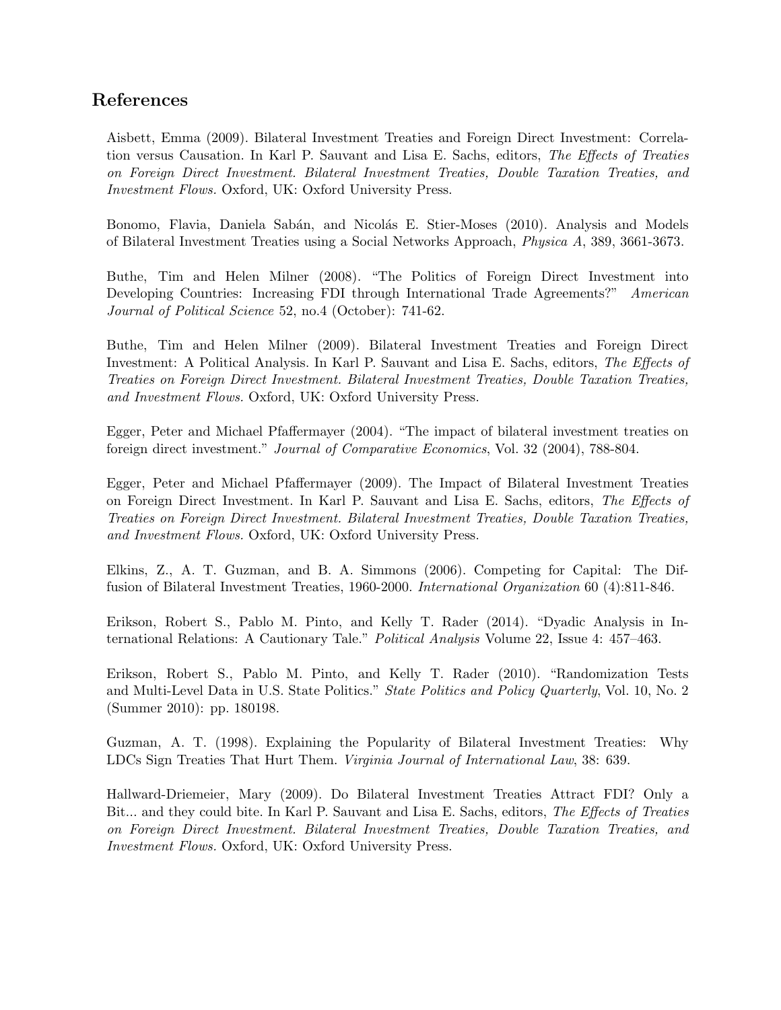## References

Aisbett, Emma (2009). Bilateral Investment Treaties and Foreign Direct Investment: Correlation versus Causation. In Karl P. Sauvant and Lisa E. Sachs, editors, The Effects of Treaties on Foreign Direct Investment. Bilateral Investment Treaties, Double Taxation Treaties, and Investment Flows. Oxford, UK: Oxford University Press.

Bonomo, Flavia, Daniela Sabán, and Nicolás E. Stier-Moses (2010). Analysis and Models of Bilateral Investment Treaties using a Social Networks Approach, Physica A, 389, 3661-3673.

Buthe, Tim and Helen Milner (2008). "The Politics of Foreign Direct Investment into Developing Countries: Increasing FDI through International Trade Agreements?" American Journal of Political Science 52, no.4 (October): 741-62.

Buthe, Tim and Helen Milner (2009). Bilateral Investment Treaties and Foreign Direct Investment: A Political Analysis. In Karl P. Sauvant and Lisa E. Sachs, editors, The Effects of Treaties on Foreign Direct Investment. Bilateral Investment Treaties, Double Taxation Treaties, and Investment Flows. Oxford, UK: Oxford University Press.

Egger, Peter and Michael Pfaffermayer (2004). "The impact of bilateral investment treaties on foreign direct investment." Journal of Comparative Economics, Vol. 32 (2004), 788-804.

Egger, Peter and Michael Pfaffermayer (2009). The Impact of Bilateral Investment Treaties on Foreign Direct Investment. In Karl P. Sauvant and Lisa E. Sachs, editors, The Effects of Treaties on Foreign Direct Investment. Bilateral Investment Treaties, Double Taxation Treaties, and Investment Flows. Oxford, UK: Oxford University Press.

Elkins, Z., A. T. Guzman, and B. A. Simmons (2006). Competing for Capital: The Diffusion of Bilateral Investment Treaties, 1960-2000. International Organization 60 (4):811-846.

Erikson, Robert S., Pablo M. Pinto, and Kelly T. Rader (2014). "Dyadic Analysis in International Relations: A Cautionary Tale." Political Analysis Volume 22, Issue 4: 457–463.

Erikson, Robert S., Pablo M. Pinto, and Kelly T. Rader (2010). "Randomization Tests and Multi-Level Data in U.S. State Politics." State Politics and Policy Quarterly, Vol. 10, No. 2 (Summer 2010): pp. 180198.

Guzman, A. T. (1998). Explaining the Popularity of Bilateral Investment Treaties: Why LDCs Sign Treaties That Hurt Them. Virginia Journal of International Law, 38: 639.

Hallward-Driemeier, Mary (2009). Do Bilateral Investment Treaties Attract FDI? Only a Bit... and they could bite. In Karl P. Sauvant and Lisa E. Sachs, editors, The Effects of Treaties on Foreign Direct Investment. Bilateral Investment Treaties, Double Taxation Treaties, and Investment Flows. Oxford, UK: Oxford University Press.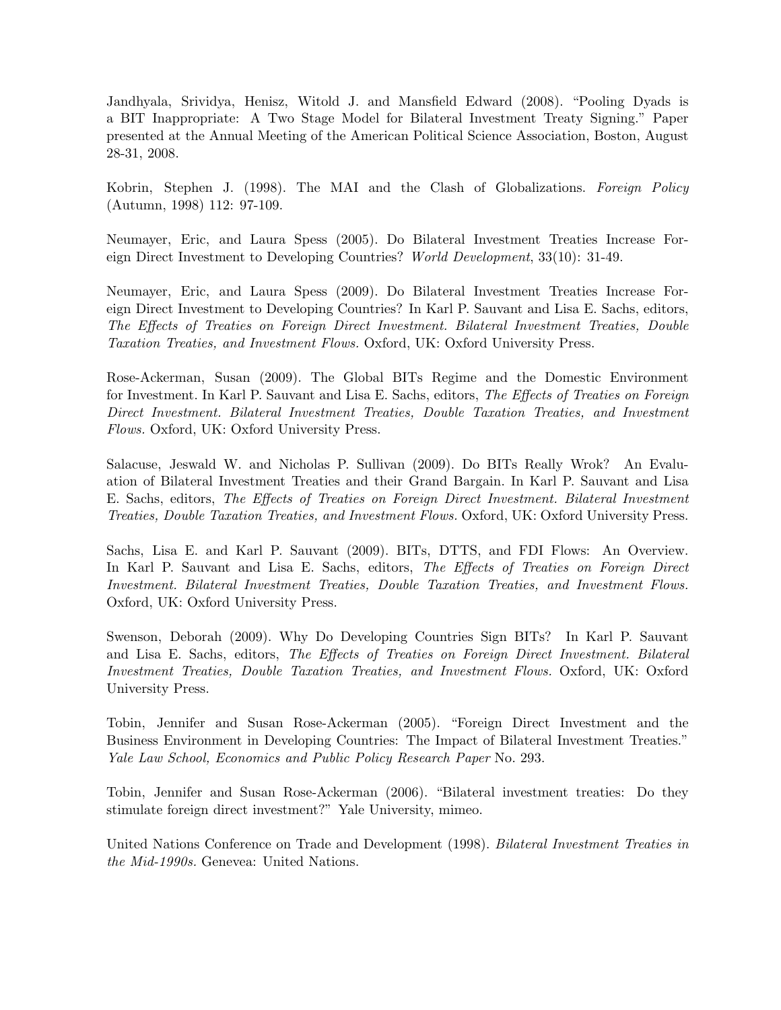Jandhyala, Srividya, Henisz, Witold J. and Mansfield Edward (2008). "Pooling Dyads is a BIT Inappropriate: A Two Stage Model for Bilateral Investment Treaty Signing." Paper presented at the Annual Meeting of the American Political Science Association, Boston, August 28-31, 2008.

Kobrin, Stephen J. (1998). The MAI and the Clash of Globalizations. Foreign Policy (Autumn, 1998) 112: 97-109.

Neumayer, Eric, and Laura Spess (2005). Do Bilateral Investment Treaties Increase Foreign Direct Investment to Developing Countries? World Development, 33(10): 31-49.

Neumayer, Eric, and Laura Spess (2009). Do Bilateral Investment Treaties Increase Foreign Direct Investment to Developing Countries? In Karl P. Sauvant and Lisa E. Sachs, editors, The Effects of Treaties on Foreign Direct Investment. Bilateral Investment Treaties, Double Taxation Treaties, and Investment Flows. Oxford, UK: Oxford University Press.

Rose-Ackerman, Susan (2009). The Global BITs Regime and the Domestic Environment for Investment. In Karl P. Sauvant and Lisa E. Sachs, editors, The Effects of Treaties on Foreign Direct Investment. Bilateral Investment Treaties, Double Taxation Treaties, and Investment Flows. Oxford, UK: Oxford University Press.

Salacuse, Jeswald W. and Nicholas P. Sullivan (2009). Do BITs Really Wrok? An Evaluation of Bilateral Investment Treaties and their Grand Bargain. In Karl P. Sauvant and Lisa E. Sachs, editors, The Effects of Treaties on Foreign Direct Investment. Bilateral Investment Treaties, Double Taxation Treaties, and Investment Flows. Oxford, UK: Oxford University Press.

Sachs, Lisa E. and Karl P. Sauvant (2009). BITs, DTTS, and FDI Flows: An Overview. In Karl P. Sauvant and Lisa E. Sachs, editors, The Effects of Treaties on Foreign Direct Investment. Bilateral Investment Treaties, Double Taxation Treaties, and Investment Flows. Oxford, UK: Oxford University Press.

Swenson, Deborah (2009). Why Do Developing Countries Sign BITs? In Karl P. Sauvant and Lisa E. Sachs, editors, The Effects of Treaties on Foreign Direct Investment. Bilateral Investment Treaties, Double Taxation Treaties, and Investment Flows. Oxford, UK: Oxford University Press.

Tobin, Jennifer and Susan Rose-Ackerman (2005). "Foreign Direct Investment and the Business Environment in Developing Countries: The Impact of Bilateral Investment Treaties." Yale Law School, Economics and Public Policy Research Paper No. 293.

Tobin, Jennifer and Susan Rose-Ackerman (2006). "Bilateral investment treaties: Do they stimulate foreign direct investment?" Yale University, mimeo.

United Nations Conference on Trade and Development (1998). Bilateral Investment Treaties in the Mid-1990s. Genevea: United Nations.